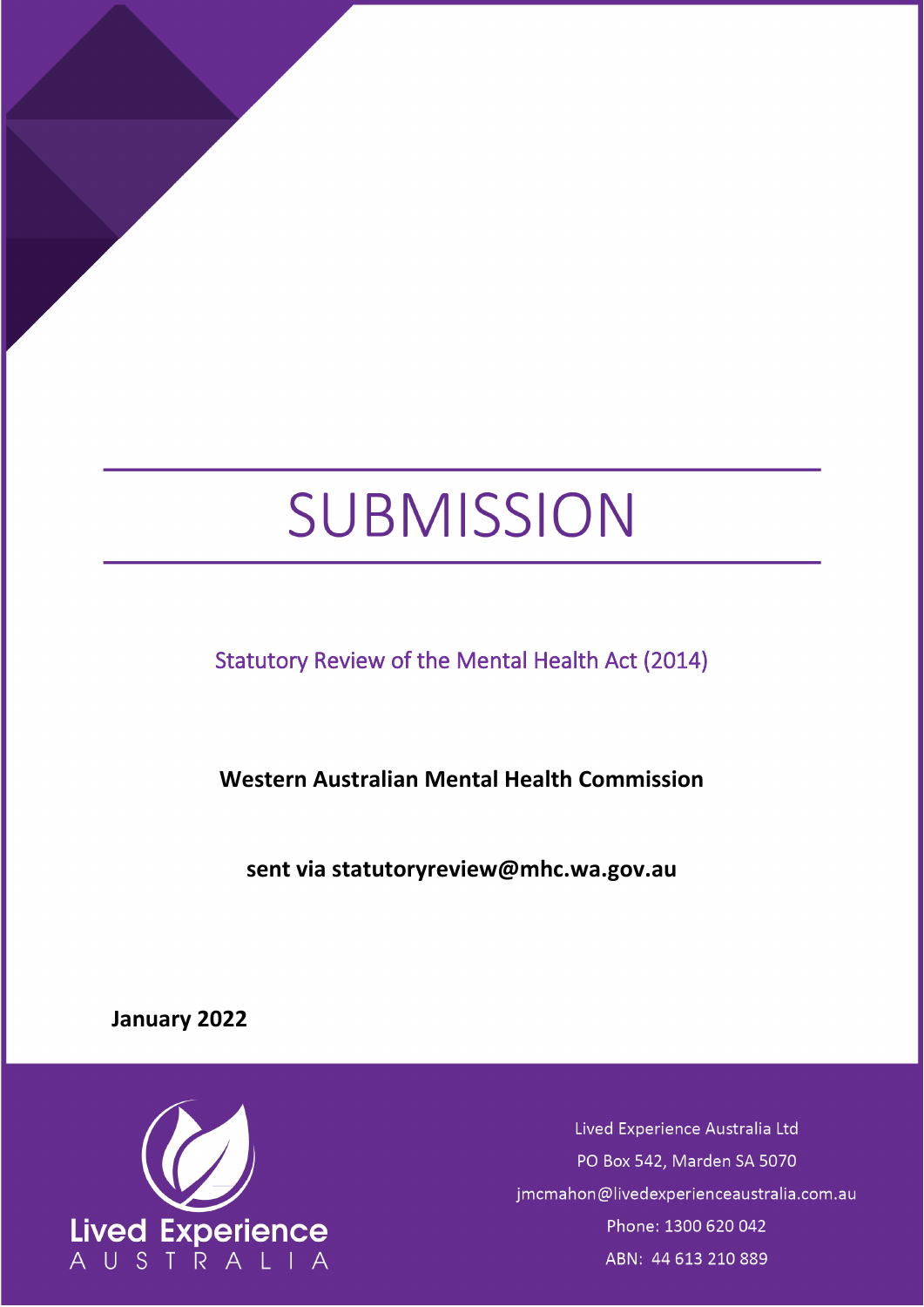# SUBMISSION

<span id="page-0-0"></span>Statutory Review of the Mental Health Act (2014)

**Western Australian Mental Health Commission**

**sent via [statutoryreview@mhc.wa.gov.au](mailto:statutoryreview@mhc.wa.gov.au)**

**January 2022**



Lived Experience Australia Ltd PO Box 542, Marden SA 5070 jmcmahon@livedexperienceaustralia.com.au Phone: 1300 620 042 ABN: 44 613 210 889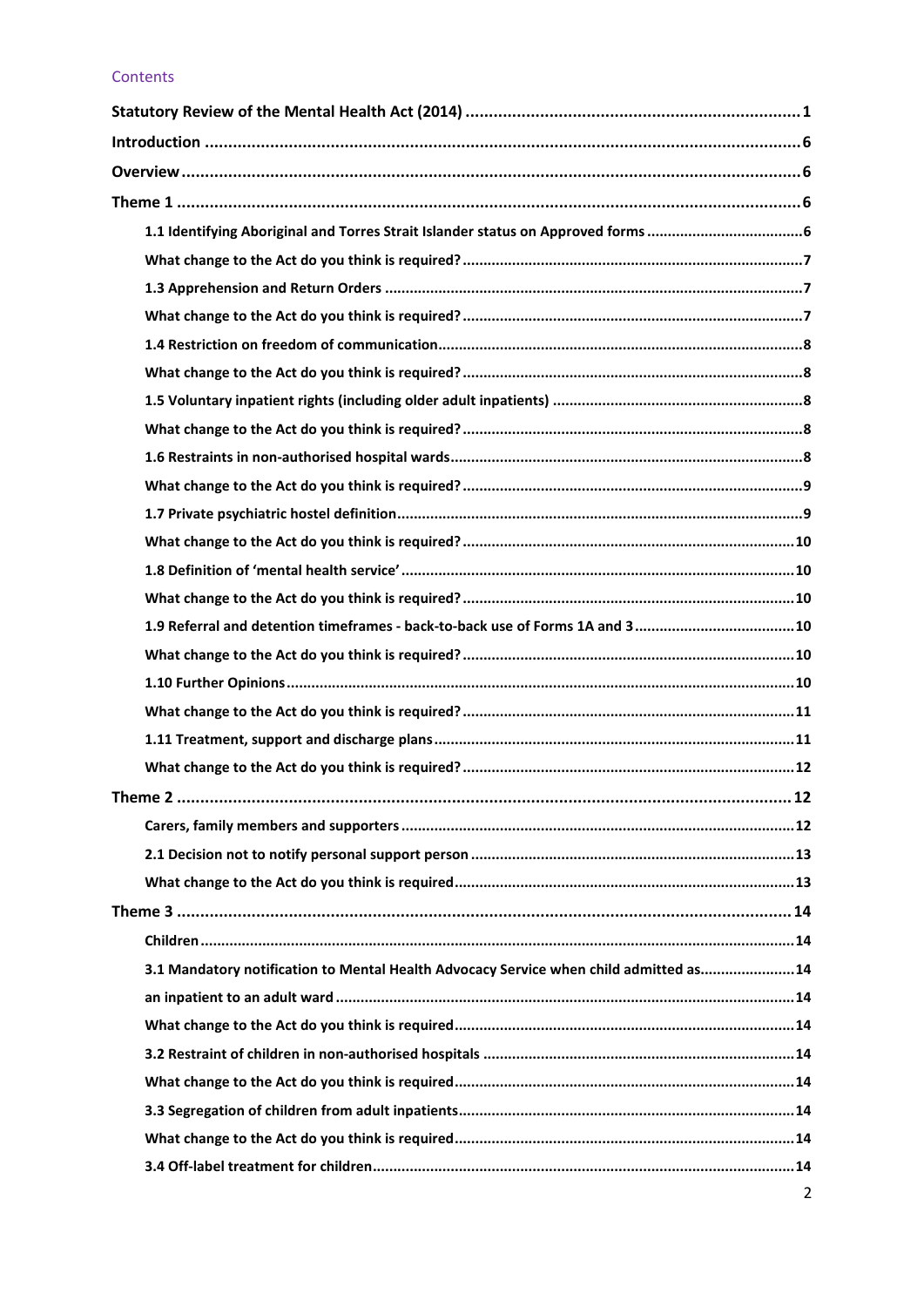## Contents

| 1.9 Referral and detention timeframes - back-to-back use of Forms 1A and 310           |                |
|----------------------------------------------------------------------------------------|----------------|
|                                                                                        |                |
|                                                                                        |                |
|                                                                                        |                |
|                                                                                        |                |
|                                                                                        |                |
| Theme 2                                                                                | .12            |
|                                                                                        |                |
|                                                                                        |                |
|                                                                                        |                |
|                                                                                        |                |
|                                                                                        |                |
| 3.1 Mandatory notification to Mental Health Advocacy Service when child admitted as 14 |                |
|                                                                                        |                |
|                                                                                        |                |
|                                                                                        |                |
|                                                                                        |                |
|                                                                                        |                |
|                                                                                        |                |
|                                                                                        |                |
|                                                                                        | $\overline{2}$ |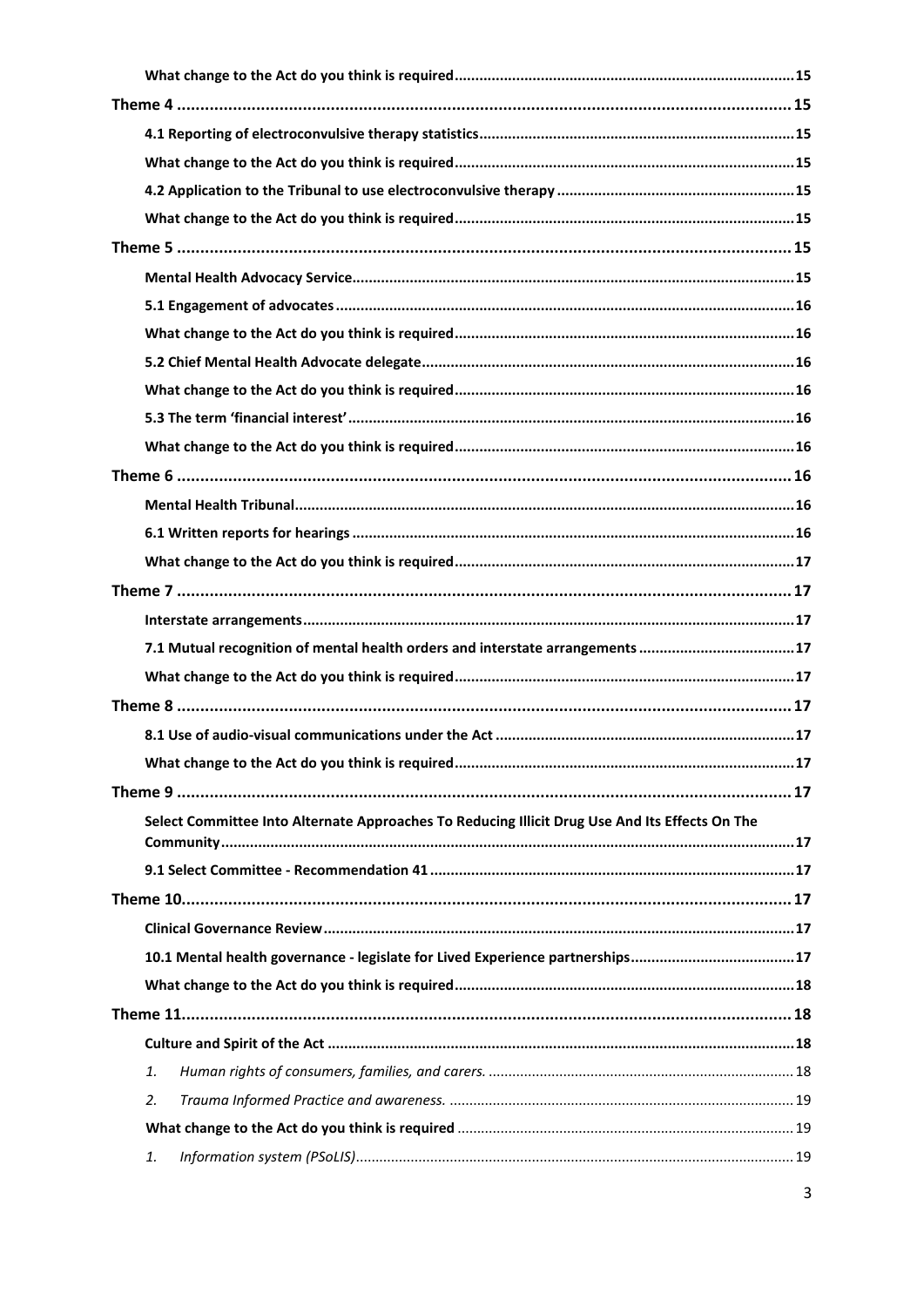| 7.1 Mutual recognition of mental health orders and interstate arrangements 17                  |  |  |  |  |
|------------------------------------------------------------------------------------------------|--|--|--|--|
|                                                                                                |  |  |  |  |
|                                                                                                |  |  |  |  |
|                                                                                                |  |  |  |  |
|                                                                                                |  |  |  |  |
|                                                                                                |  |  |  |  |
| Select Committee Into Alternate Approaches To Reducing Illicit Drug Use And Its Effects On The |  |  |  |  |
|                                                                                                |  |  |  |  |
|                                                                                                |  |  |  |  |
|                                                                                                |  |  |  |  |
|                                                                                                |  |  |  |  |
|                                                                                                |  |  |  |  |
|                                                                                                |  |  |  |  |
|                                                                                                |  |  |  |  |
|                                                                                                |  |  |  |  |
| 1.                                                                                             |  |  |  |  |
| 2.                                                                                             |  |  |  |  |
|                                                                                                |  |  |  |  |
| 1.                                                                                             |  |  |  |  |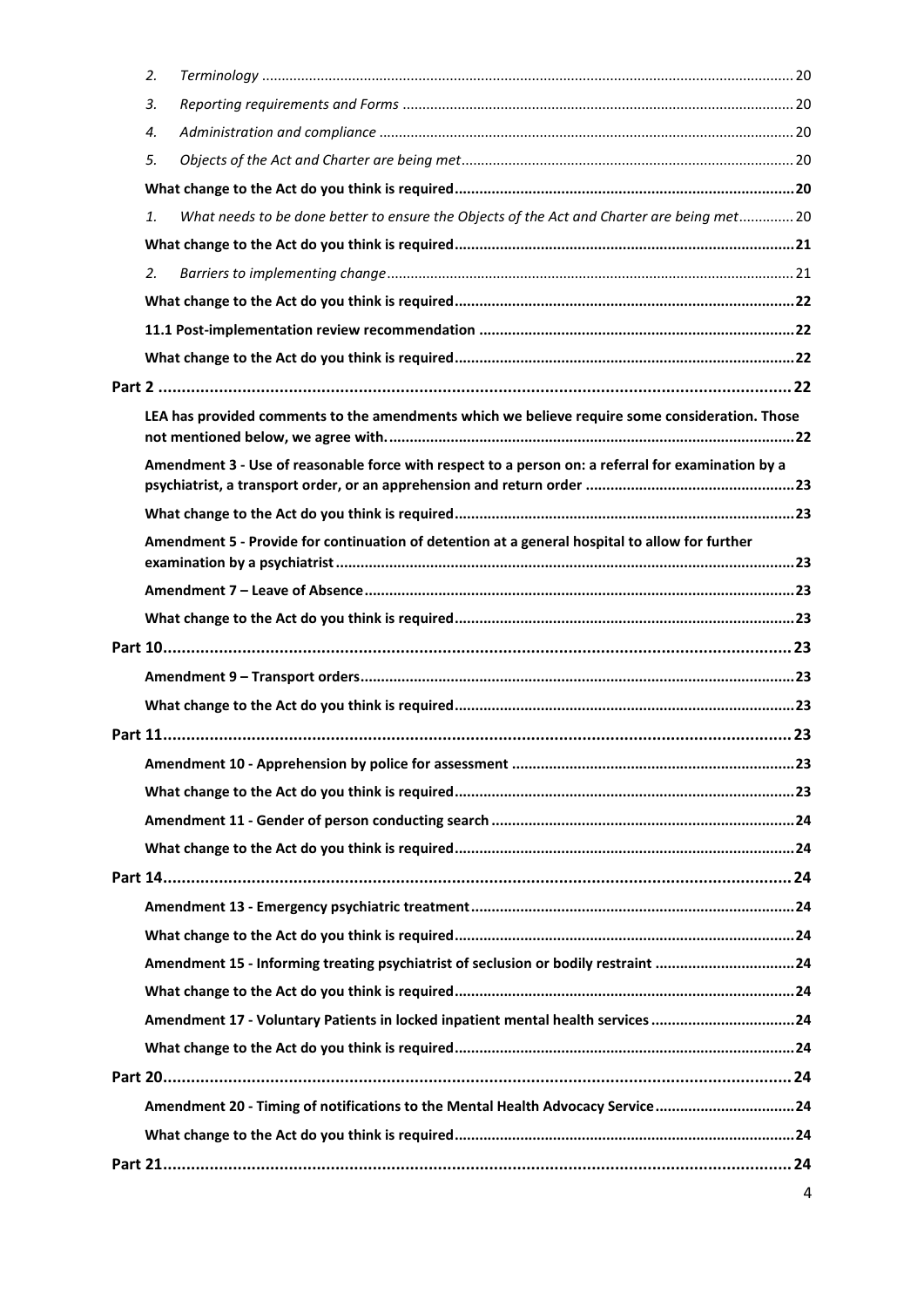| 2.                                                                                                 |                                                                                                |  |  |  |
|----------------------------------------------------------------------------------------------------|------------------------------------------------------------------------------------------------|--|--|--|
| 3.                                                                                                 |                                                                                                |  |  |  |
| 4.                                                                                                 |                                                                                                |  |  |  |
| 5.                                                                                                 |                                                                                                |  |  |  |
|                                                                                                    |                                                                                                |  |  |  |
| 1.                                                                                                 | What needs to be done better to ensure the Objects of the Act and Charter are being met 20     |  |  |  |
|                                                                                                    |                                                                                                |  |  |  |
| 2.                                                                                                 |                                                                                                |  |  |  |
|                                                                                                    |                                                                                                |  |  |  |
|                                                                                                    |                                                                                                |  |  |  |
|                                                                                                    |                                                                                                |  |  |  |
|                                                                                                    |                                                                                                |  |  |  |
|                                                                                                    | LEA has provided comments to the amendments which we believe require some consideration. Those |  |  |  |
| Amendment 3 - Use of reasonable force with respect to a person on: a referral for examination by a |                                                                                                |  |  |  |
|                                                                                                    |                                                                                                |  |  |  |
|                                                                                                    | Amendment 5 - Provide for continuation of detention at a general hospital to allow for further |  |  |  |
|                                                                                                    |                                                                                                |  |  |  |
|                                                                                                    |                                                                                                |  |  |  |
|                                                                                                    |                                                                                                |  |  |  |
|                                                                                                    |                                                                                                |  |  |  |
|                                                                                                    |                                                                                                |  |  |  |
|                                                                                                    |                                                                                                |  |  |  |
|                                                                                                    |                                                                                                |  |  |  |
|                                                                                                    |                                                                                                |  |  |  |
|                                                                                                    |                                                                                                |  |  |  |
|                                                                                                    |                                                                                                |  |  |  |
|                                                                                                    |                                                                                                |  |  |  |
|                                                                                                    |                                                                                                |  |  |  |
|                                                                                                    |                                                                                                |  |  |  |
|                                                                                                    | Amendment 15 - Informing treating psychiatrist of seclusion or bodily restraint 24             |  |  |  |
|                                                                                                    |                                                                                                |  |  |  |
|                                                                                                    | Amendment 17 - Voluntary Patients in locked inpatient mental health services 24                |  |  |  |
|                                                                                                    |                                                                                                |  |  |  |
|                                                                                                    |                                                                                                |  |  |  |
|                                                                                                    | Amendment 20 - Timing of notifications to the Mental Health Advocacy Service24                 |  |  |  |
|                                                                                                    |                                                                                                |  |  |  |
|                                                                                                    |                                                                                                |  |  |  |
|                                                                                                    |                                                                                                |  |  |  |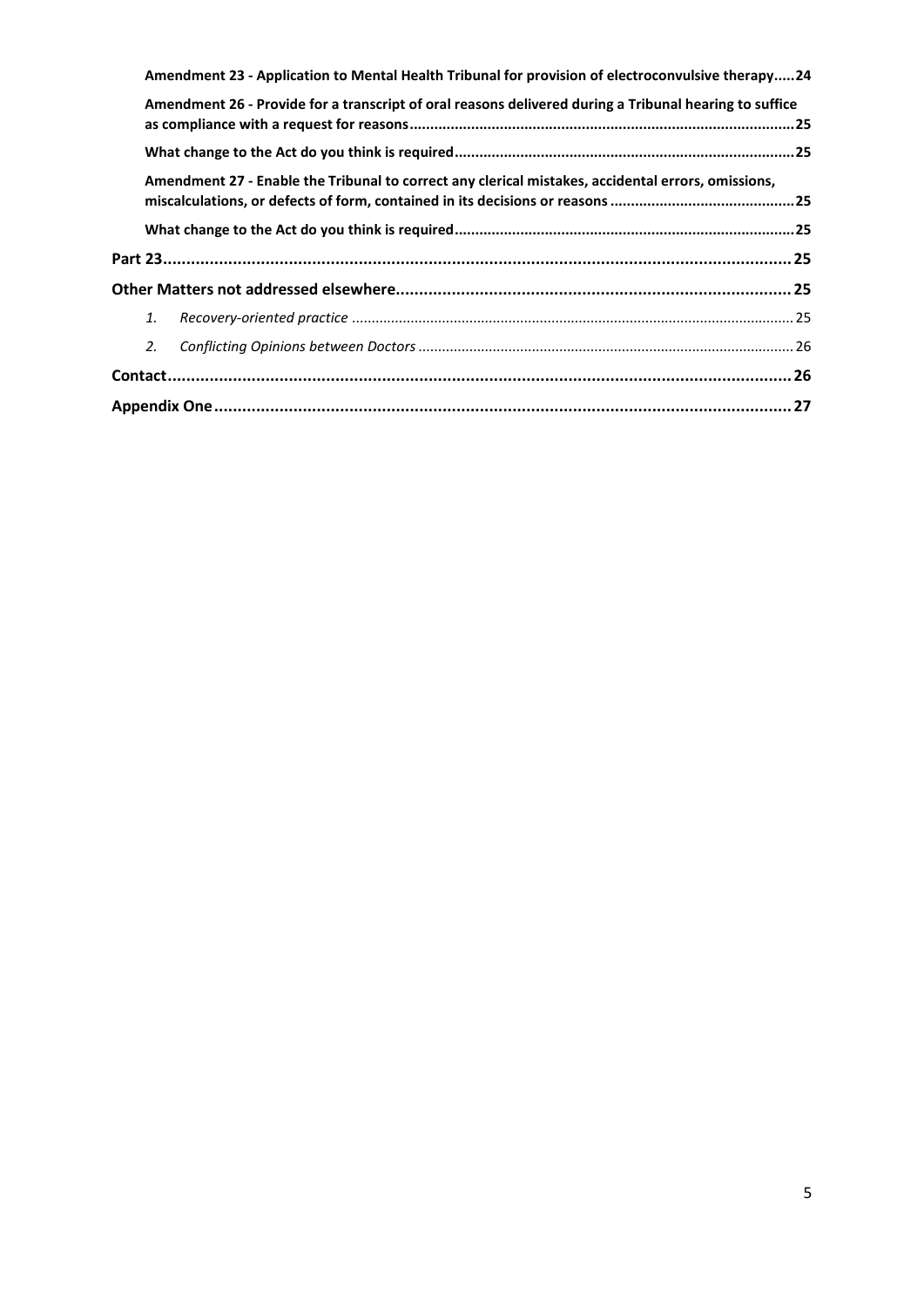|    | Amendment 23 - Application to Mental Health Tribunal for provision of electroconvulsive therapy24      |  |  |
|----|--------------------------------------------------------------------------------------------------------|--|--|
|    | Amendment 26 - Provide for a transcript of oral reasons delivered during a Tribunal hearing to suffice |  |  |
|    |                                                                                                        |  |  |
|    | Amendment 27 - Enable the Tribunal to correct any clerical mistakes, accidental errors, omissions,     |  |  |
|    |                                                                                                        |  |  |
|    |                                                                                                        |  |  |
|    |                                                                                                        |  |  |
| 1. |                                                                                                        |  |  |
| 2. |                                                                                                        |  |  |
|    |                                                                                                        |  |  |
|    |                                                                                                        |  |  |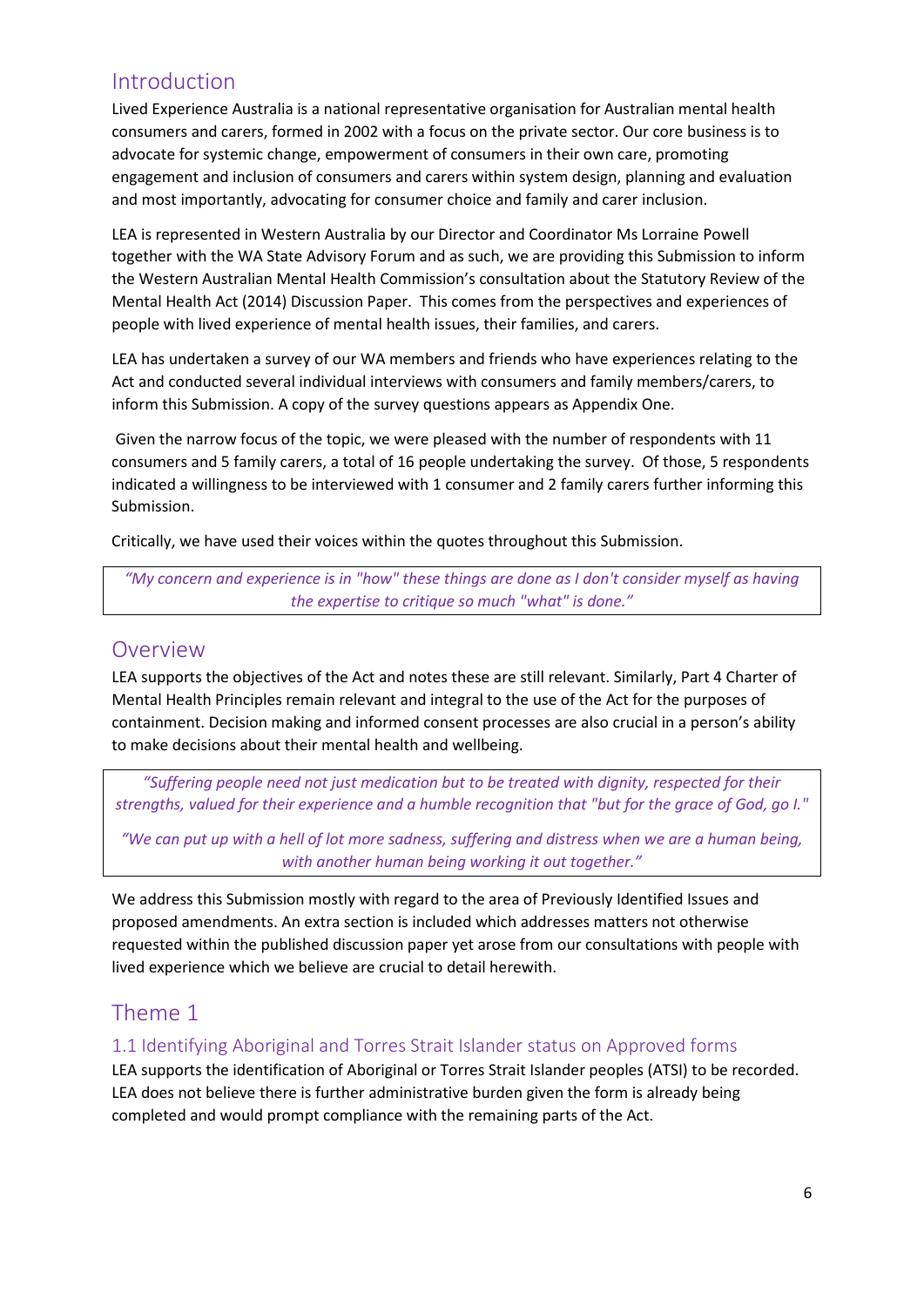# <span id="page-5-0"></span>Introduction

Lived Experience Australia is a national representative organisation for Australian mental health consumers and carers, formed in 2002 with a focus on the private sector. Our core business is to advocate for systemic change, empowerment of consumers in their own care, promoting engagement and inclusion of consumers and carers within system design, planning and evaluation and most importantly, advocating for consumer choice and family and carer inclusion.

LEA is represented in Western Australia by our Director and Coordinator Ms Lorraine Powell together with the WA State Advisory Forum and as such, we are providing this Submission to inform the Western Australian Mental Health Commission's consultation about the Statutory Review of the Mental Health Act (2014) Discussion Paper. This comes from the perspectives and experiences of people with lived experience of mental health issues, their families, and carers.

LEA has undertaken a survey of our WA members and friends who have experiences relating to the Act and conducted several individual interviews with consumers and family members/carers, to inform this Submission. A copy of the survey questions appears as Appendix One.

Given the narrow focus of the topic, we were pleased with the number of respondents with 11 consumers and 5 family carers, a total of 16 people undertaking the survey. Of those, 5 respondents indicated a willingness to be interviewed with 1 consumer and 2 family carers further informing this Submission.

Critically, we have used their voices within the quotes throughout this Submission.

*"My concern and experience is in "how" these things are done as I don't consider myself as having the expertise to critique so much "what" is done."*

# <span id="page-5-1"></span>Overview

LEA supports the objectives of the Act and notes these are still relevant. Similarly, Part 4 Charter of Mental Health Principles remain relevant and integral to the use of the Act for the purposes of containment. Decision making and informed consent processes are also crucial in a person's ability to make decisions about their mental health and wellbeing.

*"Suffering people need not just medication but to be treated with dignity, respected for their strengths, valued for their experience and a humble recognition that "but for the grace of God, go I."*

*"We can put up with a hell of lot more sadness, suffering and distress when we are a human being, with another human being working it out together."*

We address this Submission mostly with regard to the area of Previously Identified Issues and proposed amendments. An extra section is included which addresses matters not otherwise requested within the published discussion paper yet arose from our consultations with people with lived experience which we believe are crucial to detail herewith.

# <span id="page-5-2"></span>Theme 1

## <span id="page-5-3"></span>1.1 Identifying Aboriginal and Torres Strait Islander status on Approved forms

LEA supports the identification of Aboriginal or Torres Strait Islander peoples (ATSI) to be recorded. LEA does not believe there is further administrative burden given the form is already being completed and would prompt compliance with the remaining parts of the Act.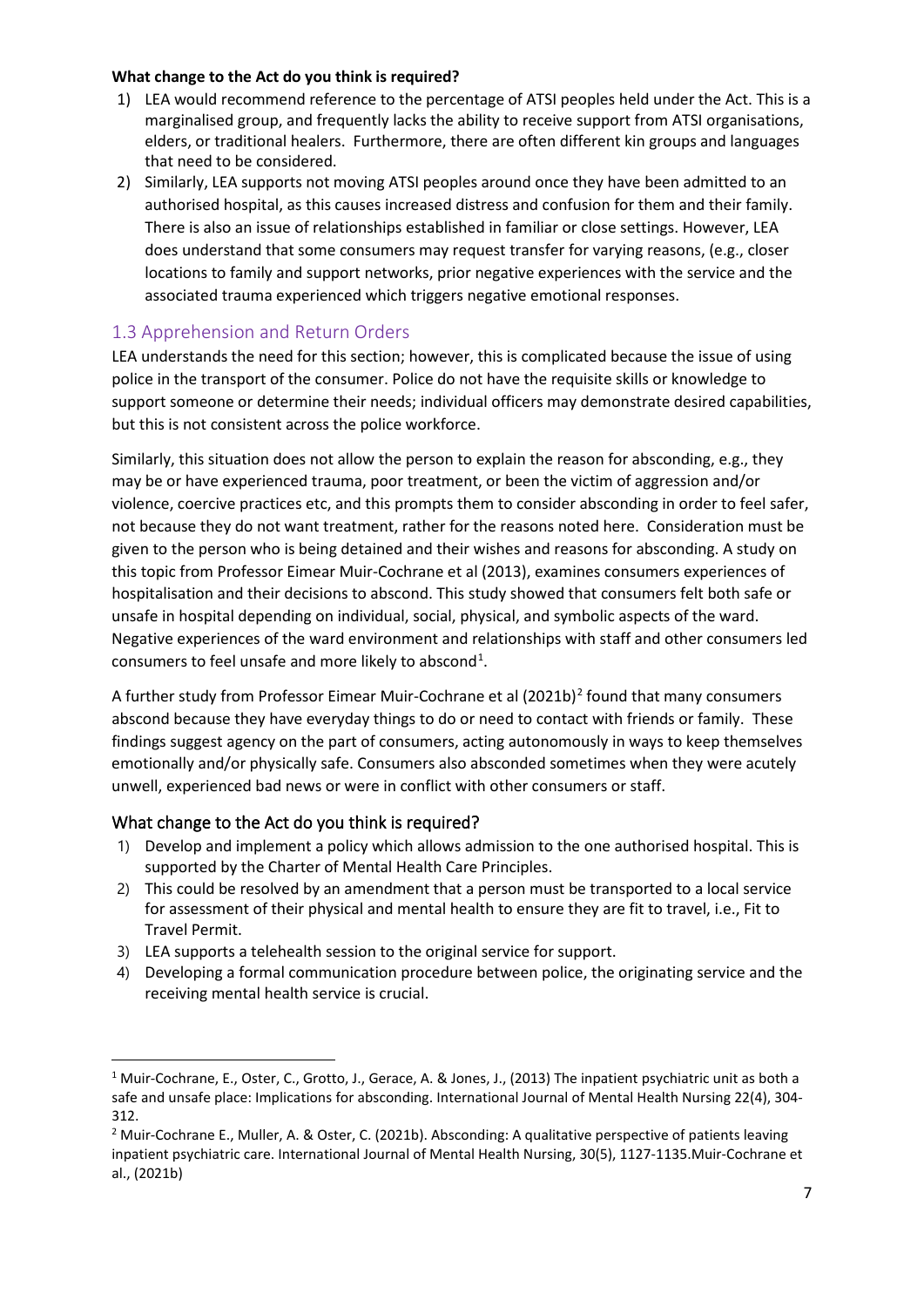#### <span id="page-6-0"></span>**What change to the Act do you think is required?**

- 1) LEA would recommend reference to the percentage of ATSI peoples held under the Act. This is a marginalised group, and frequently lacks the ability to receive support from ATSI organisations, elders, or traditional healers. Furthermore, there are often different kin groups and languages that need to be considered.
- 2) Similarly, LEA supports not moving ATSI peoples around once they have been admitted to an authorised hospital, as this causes increased distress and confusion for them and their family. There is also an issue of relationships established in familiar or close settings. However, LEA does understand that some consumers may request transfer for varying reasons, (e.g., closer locations to family and support networks, prior negative experiences with the service and the associated trauma experienced which triggers negative emotional responses.

# <span id="page-6-1"></span>1.3 Apprehension and Return Orders

LEA understands the need for this section; however, this is complicated because the issue of using police in the transport of the consumer. Police do not have the requisite skills or knowledge to support someone or determine their needs; individual officers may demonstrate desired capabilities, but this is not consistent across the police workforce.

Similarly, this situation does not allow the person to explain the reason for absconding, e.g., they may be or have experienced trauma, poor treatment, or been the victim of aggression and/or violence, coercive practices etc, and this prompts them to consider absconding in order to feel safer, not because they do not want treatment, rather for the reasons noted here. Consideration must be given to the person who is being detained and their wishes and reasons for absconding. A study on this topic from Professor Eimear Muir-Cochrane et al (2013), examines consumers experiences of hospitalisation and their decisions to abscond. This study showed that consumers felt both safe or unsafe in hospital depending on individual, social, physical, and symbolic aspects of the ward. Negative experiences of the ward environment and relationships with staff and other consumers led consumers to feel unsafe and more likely to abscond<sup>[1](#page-6-3)</sup>.

A further study from Professor Eimear Muir-Cochrane et al ([2](#page-6-4)021b)<sup>2</sup> found that many consumers abscond because they have everyday things to do or need to contact with friends or family. These findings suggest agency on the part of consumers, acting autonomously in ways to keep themselves emotionally and/or physically safe. Consumers also absconded sometimes when they were acutely unwell, experienced bad news or were in conflict with other consumers or staff.

## <span id="page-6-2"></span>What change to the Act do you think is required?

- 1) Develop and implement a policy which allows admission to the one authorised hospital. This is supported by the Charter of Mental Health Care Principles.
- 2) This could be resolved by an amendment that a person must be transported to a local service for assessment of their physical and mental health to ensure they are fit to travel, i.e., Fit to Travel Permit.
- 3) LEA supports a telehealth session to the original service for support.
- 4) Developing a formal communication procedure between police, the originating service and the receiving mental health service is crucial.

<span id="page-6-3"></span><sup>&</sup>lt;sup>1</sup> Muir-Cochrane, E., Oster, C., Grotto, J., Gerace, A. & Jones, J., (2013) The inpatient psychiatric unit as both a safe and unsafe place: Implications for absconding. International Journal of Mental Health Nursing 22(4), 304- 312.

<span id="page-6-4"></span><sup>2</sup> Muir-Cochrane E., Muller, A. & Oster, C. (2021b). Absconding: A qualitative perspective of patients leaving inpatient psychiatric care. International Journal of Mental Health Nursing, 30(5), 1127-1135.Muir-Cochrane et al., (2021b)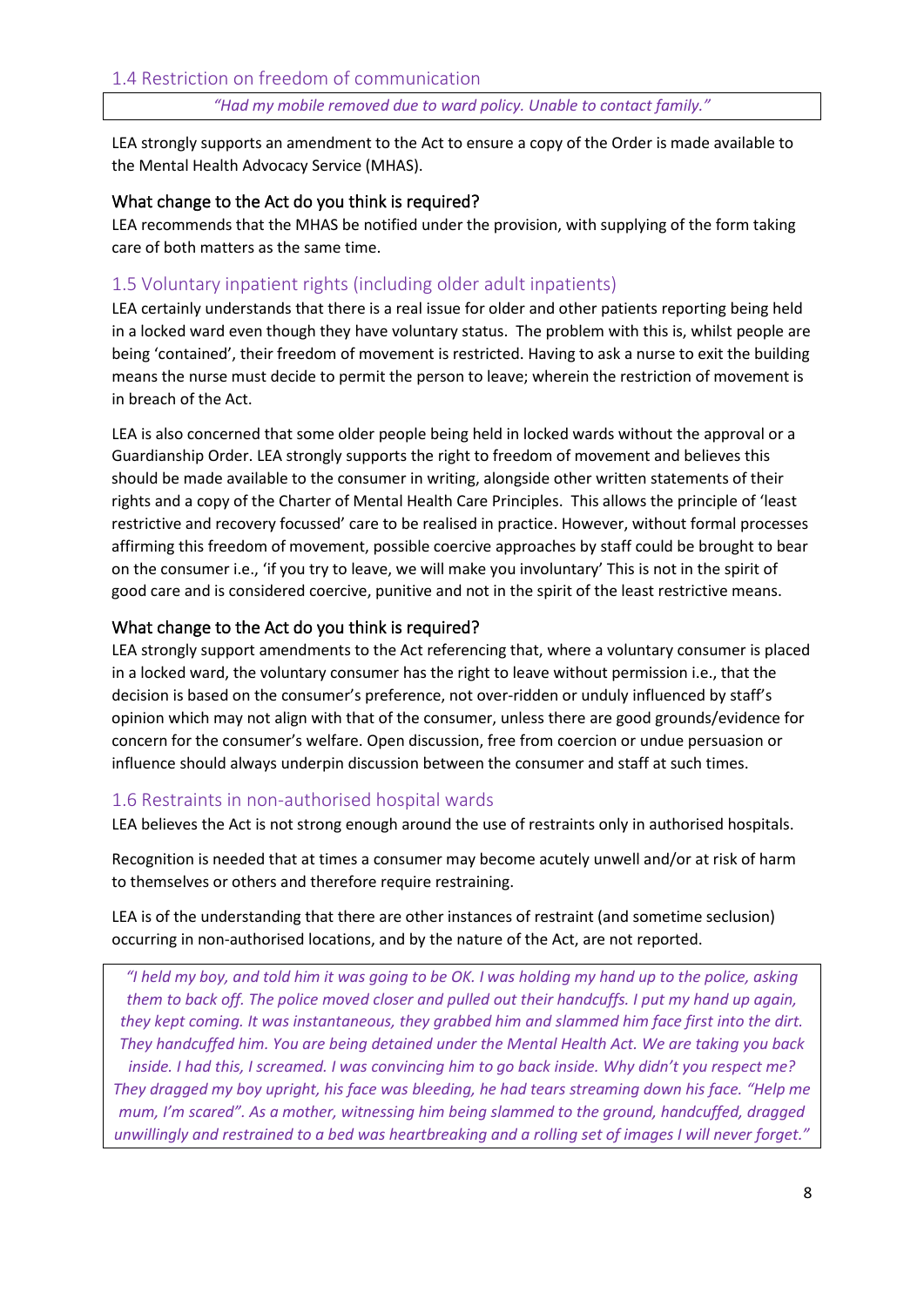*"Had my mobile removed due to ward policy. Unable to contact family."*

<span id="page-7-0"></span>LEA strongly supports an amendment to the Act to ensure a copy of the Order is made available to the Mental Health Advocacy Service (MHAS).

#### <span id="page-7-1"></span>What change to the Act do you think is required?

LEA recommends that the MHAS be notified under the provision, with supplying of the form taking care of both matters as the same time.

## <span id="page-7-2"></span>1.5 Voluntary inpatient rights (including older adult inpatients)

LEA certainly understands that there is a real issue for older and other patients reporting being held in a locked ward even though they have voluntary status. The problem with this is, whilst people are being 'contained', their freedom of movement is restricted. Having to ask a nurse to exit the building means the nurse must decide to permit the person to leave; wherein the restriction of movement is in breach of the Act.

LEA is also concerned that some older people being held in locked wards without the approval or a Guardianship Order. LEA strongly supports the right to freedom of movement and believes this should be made available to the consumer in writing, alongside other written statements of their rights and a copy of the Charter of Mental Health Care Principles. This allows the principle of 'least restrictive and recovery focussed' care to be realised in practice. However, without formal processes affirming this freedom of movement, possible coercive approaches by staff could be brought to bear on the consumer i.e., 'if you try to leave, we will make you involuntary' This is not in the spirit of good care and is considered coercive, punitive and not in the spirit of the least restrictive means.

#### <span id="page-7-3"></span>What change to the Act do you think is required?

LEA strongly support amendments to the Act referencing that, where a voluntary consumer is placed in a locked ward, the voluntary consumer has the right to leave without permission i.e., that the decision is based on the consumer's preference, not over-ridden or unduly influenced by staff's opinion which may not align with that of the consumer, unless there are good grounds/evidence for concern for the consumer's welfare. Open discussion, free from coercion or undue persuasion or influence should always underpin discussion between the consumer and staff at such times.

## <span id="page-7-4"></span>1.6 Restraints in non-authorised hospital wards

LEA believes the Act is not strong enough around the use of restraints only in authorised hospitals.

Recognition is needed that at times a consumer may become acutely unwell and/or at risk of harm to themselves or others and therefore require restraining.

LEA is of the understanding that there are other instances of restraint (and sometime seclusion) occurring in non-authorised locations, and by the nature of the Act, are not reported.

*"I held my boy, and told him it was going to be OK. I was holding my hand up to the police, asking them to back off. The police moved closer and pulled out their handcuffs. I put my hand up again, they kept coming. It was instantaneous, they grabbed him and slammed him face first into the dirt. They handcuffed him. You are being detained under the Mental Health Act. We are taking you back inside. I had this, I screamed. I was convincing him to go back inside. Why didn't you respect me? They dragged my boy upright, his face was bleeding, he had tears streaming down his face. "Help me mum, I'm scared". As a mother, witnessing him being slammed to the ground, handcuffed, dragged unwillingly and restrained to a bed was heartbreaking and a rolling set of images I will never forget."*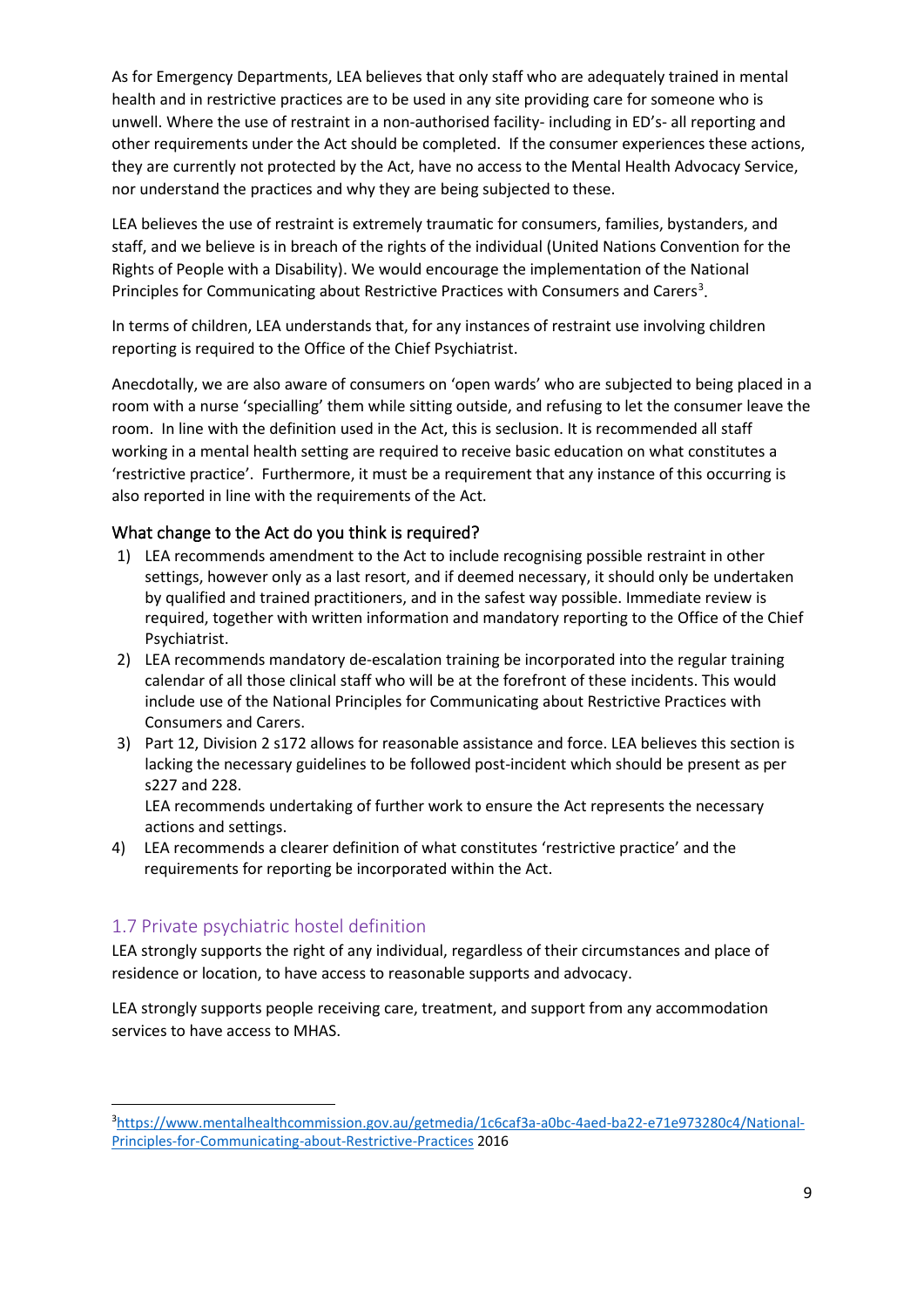As for Emergency Departments, LEA believes that only staff who are adequately trained in mental health and in restrictive practices are to be used in any site providing care for someone who is unwell. Where the use of restraint in a non-authorised facility- including in ED's- all reporting and other requirements under the Act should be completed. If the consumer experiences these actions, they are currently not protected by the Act, have no access to the Mental Health Advocacy Service, nor understand the practices and why they are being subjected to these.

LEA believes the use of restraint is extremely traumatic for consumers, families, bystanders, and staff, and we believe is in breach of the rights of the individual (United Nations Convention for the Rights of People with a Disability). We would encourage the implementation of the National Principles for Communicating about Restrictive Practices with Consumers and Carers<sup>[3](#page-8-2)</sup>.

In terms of children, LEA understands that, for any instances of restraint use involving children reporting is required to the Office of the Chief Psychiatrist.

Anecdotally, we are also aware of consumers on 'open wards' who are subjected to being placed in a room with a nurse 'specialling' them while sitting outside, and refusing to let the consumer leave the room. In line with the definition used in the Act, this is seclusion. It is recommended all staff working in a mental health setting are required to receive basic education on what constitutes a 'restrictive practice'. Furthermore, it must be a requirement that any instance of this occurring is also reported in line with the requirements of the Act.

## <span id="page-8-0"></span>What change to the Act do you think is required?

- 1) LEA recommends amendment to the Act to include recognising possible restraint in other settings, however only as a last resort, and if deemed necessary, it should only be undertaken by qualified and trained practitioners, and in the safest way possible. Immediate review is required, together with written information and mandatory reporting to the Office of the Chief Psychiatrist.
- 2) LEA recommends mandatory de-escalation training be incorporated into the regular training calendar of all those clinical staff who will be at the forefront of these incidents. This would include use of the National Principles for Communicating about Restrictive Practices with Consumers and Carers.
- 3) Part 12, Division 2 s172 allows for reasonable assistance and force. LEA believes this section is lacking the necessary guidelines to be followed post-incident which should be present as per s227 and 228.

LEA recommends undertaking of further work to ensure the Act represents the necessary actions and settings.

4) LEA recommends a clearer definition of what constitutes 'restrictive practice' and the requirements for reporting be incorporated within the Act.

## <span id="page-8-1"></span>1.7 Private psychiatric hostel definition

LEA strongly supports the right of any individual, regardless of their circumstances and place of residence or location, to have access to reasonable supports and advocacy.

LEA strongly supports people receiving care, treatment, and support from any accommodation services to have access to MHAS.

<span id="page-8-2"></span><sup>3</sup> [https://www.mentalhealthcommission.gov.au/getmedia/1c6caf3a-a0bc-4aed-ba22-e71e973280c4/National-](https://www.mentalhealthcommission.gov.au/getmedia/1c6caf3a-a0bc-4aed-ba22-e71e973280c4/National-Principles-for-Communicating-about-Restrictive-Practices)[Principles-for-Communicating-about-Restrictive-Practices](https://www.mentalhealthcommission.gov.au/getmedia/1c6caf3a-a0bc-4aed-ba22-e71e973280c4/National-Principles-for-Communicating-about-Restrictive-Practices) 2016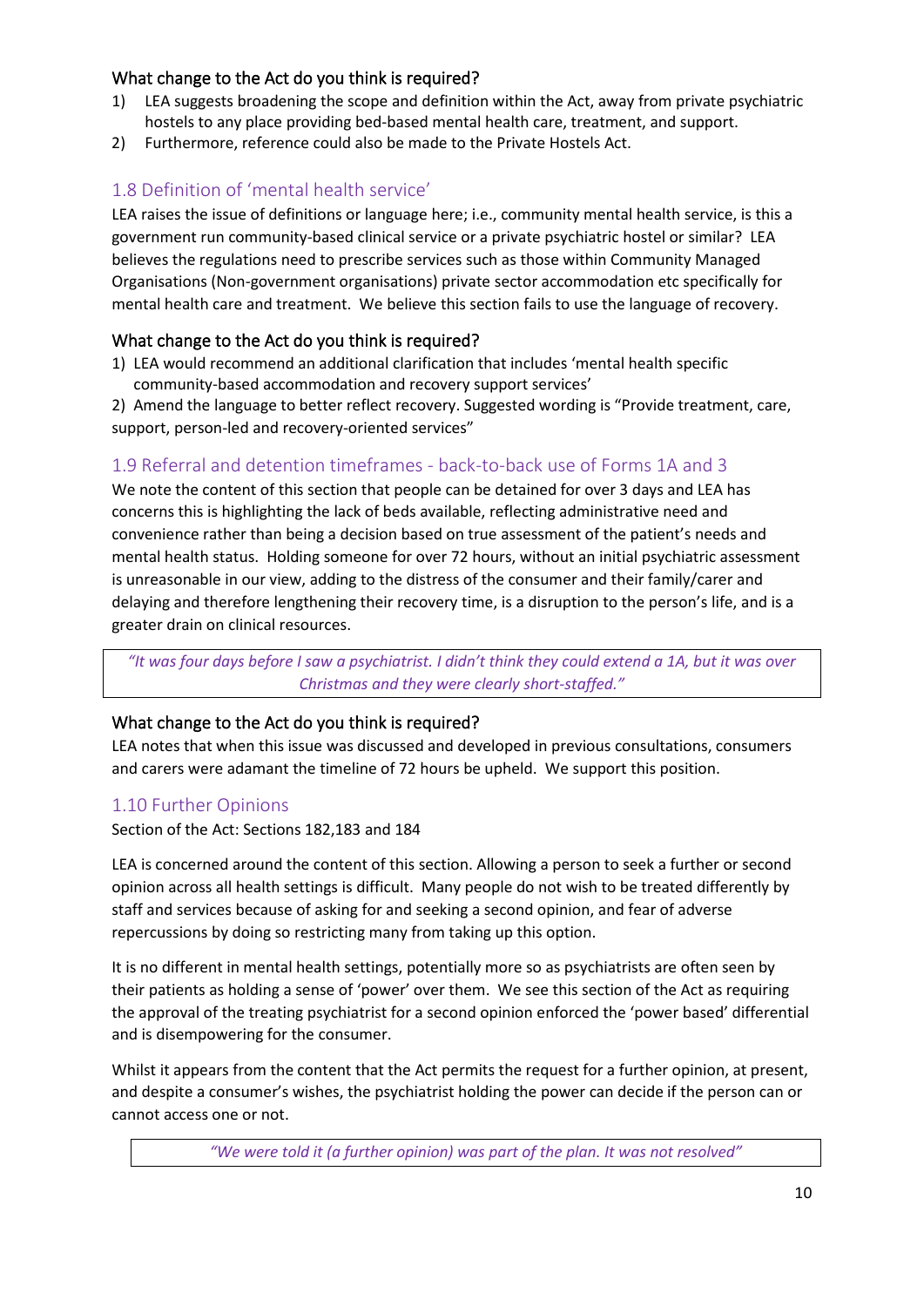## <span id="page-9-0"></span>What change to the Act do you think is required?

- 1) LEA suggests broadening the scope and definition within the Act, away from private psychiatric hostels to any place providing bed-based mental health care, treatment, and support.
- 2) Furthermore, reference could also be made to the Private Hostels Act.

# <span id="page-9-1"></span>1.8 Definition of 'mental health service'

LEA raises the issue of definitions or language here; i.e., community mental health service, is this a government run community-based clinical service or a private psychiatric hostel or similar? LEA believes the regulations need to prescribe services such as those within Community Managed Organisations (Non-government organisations) private sector accommodation etc specifically for mental health care and treatment. We believe this section fails to use the language of recovery.

## <span id="page-9-2"></span>What change to the Act do you think is required?

1) LEA would recommend an additional clarification that includes 'mental health specific community-based accommodation and recovery support services'

2) Amend the language to better reflect recovery. Suggested wording is "Provide treatment, care, support, person-led and recovery-oriented services"

## <span id="page-9-3"></span>1.9 Referral and detention timeframes - back-to-back use of Forms 1A and 3

We note the content of this section that people can be detained for over 3 days and LEA has concerns this is highlighting the lack of beds available, reflecting administrative need and convenience rather than being a decision based on true assessment of the patient's needs and mental health status. Holding someone for over 72 hours, without an initial psychiatric assessment is unreasonable in our view, adding to the distress of the consumer and their family/carer and delaying and therefore lengthening their recovery time, is a disruption to the person's life, and is a greater drain on clinical resources.

*"It was four days before I saw a psychiatrist. I didn't think they could extend a 1A, but it was over Christmas and they were clearly short-staffed."*

## <span id="page-9-4"></span>What change to the Act do you think is required?

LEA notes that when this issue was discussed and developed in previous consultations, consumers and carers were adamant the timeline of 72 hours be upheld. We support this position.

## <span id="page-9-5"></span>1.10 Further Opinions

Section of the Act: Sections 182,183 and 184

LEA is concerned around the content of this section. Allowing a person to seek a further or second opinion across all health settings is difficult. Many people do not wish to be treated differently by staff and services because of asking for and seeking a second opinion, and fear of adverse repercussions by doing so restricting many from taking up this option.

It is no different in mental health settings, potentially more so as psychiatrists are often seen by their patients as holding a sense of 'power' over them. We see this section of the Act as requiring the approval of the treating psychiatrist for a second opinion enforced the 'power based' differential and is disempowering for the consumer.

Whilst it appears from the content that the Act permits the request for a further opinion, at present, and despite a consumer's wishes, the psychiatrist holding the power can decide if the person can or cannot access one or not.

*"We were told it (a further opinion) was part of the plan. It was not resolved"*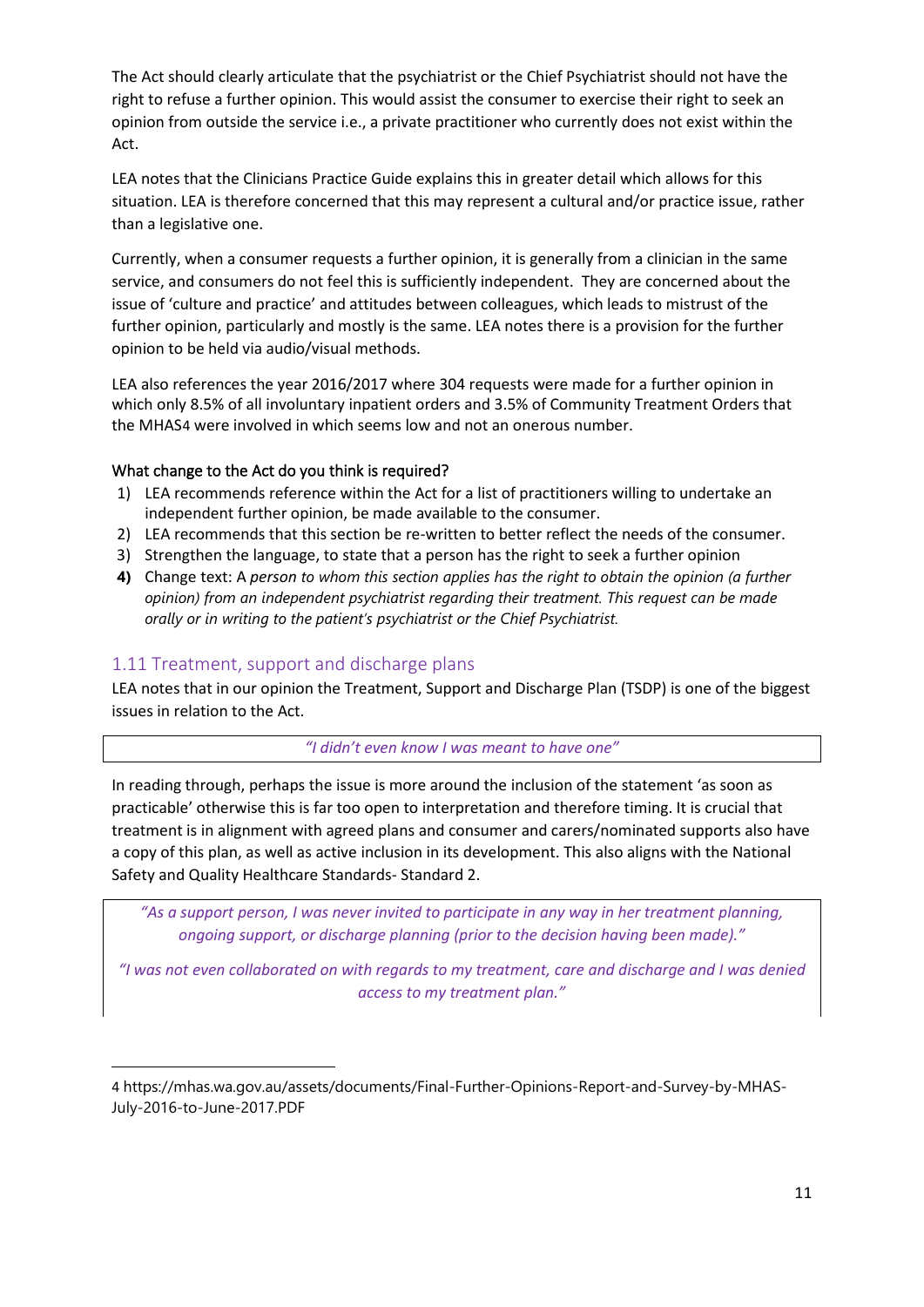The Act should clearly articulate that the psychiatrist or the Chief Psychiatrist should not have the right to refuse a further opinion. This would assist the consumer to exercise their right to seek an opinion from outside the service i.e., a private practitioner who currently does not exist within the Act.

LEA notes that the Clinicians Practice Guide explains this in greater detail which allows for this situation. LEA is therefore concerned that this may represent a cultural and/or practice issue, rather than a legislative one.

Currently, when a consumer requests a further opinion, it is generally from a clinician in the same service, and consumers do not feel this is sufficiently independent. They are concerned about the issue of 'culture and practice' and attitudes between colleagues, which leads to mistrust of the further opinion, particularly and mostly is the same. LEA notes there is a provision for the further opinion to be held via audio/visual methods.

LEA also references the year 2016/2017 where 304 requests were made for a further opinion in which only 8.5% of all involuntary inpatient orders and 3.5% of Community Treatment Orders that the MHAS[4](#page-10-2) were involved in which seems low and not an onerous number.

#### <span id="page-10-0"></span>What change to the Act do you think is required?

- 1) LEA recommends reference within the Act for a list of practitioners willing to undertake an independent further opinion, be made available to the consumer.
- 2) LEA recommends that this section be re-written to better reflect the needs of the consumer.
- 3) Strengthen the language, to state that a person has the right to seek a further opinion
- **4)** Change text: A *person to whom this section applies has the right to obtain the opinion (a further opinion) from an independent psychiatrist regarding their treatment. This request can be made orally or in writing to the patient's psychiatrist or the Chief Psychiatrist.*

## <span id="page-10-1"></span>1.11 Treatment, support and discharge plans

LEA notes that in our opinion the Treatment, Support and Discharge Plan (TSDP) is one of the biggest issues in relation to the Act.

#### *"I didn't even know I was meant to have one"*

In reading through, perhaps the issue is more around the inclusion of the statement 'as soon as practicable' otherwise this is far too open to interpretation and therefore timing. It is crucial that treatment is in alignment with agreed plans and consumer and carers/nominated supports also have a copy of this plan, as well as active inclusion in its development. This also aligns with the National Safety and Quality Healthcare Standards- Standard 2.

*"As a support person, I was never invited to participate in any way in her treatment planning, ongoing support, or discharge planning (prior to the decision having been made)."*

*"I was not even collaborated on with regards to my treatment, care and discharge and I was denied access to my treatment plan."*

<span id="page-10-2"></span><sup>4</sup> https://mhas.wa.gov.au/assets/documents/Final-Further-Opinions-Report-and-Survey-by-MHAS-July-2016-to-June-2017.PDF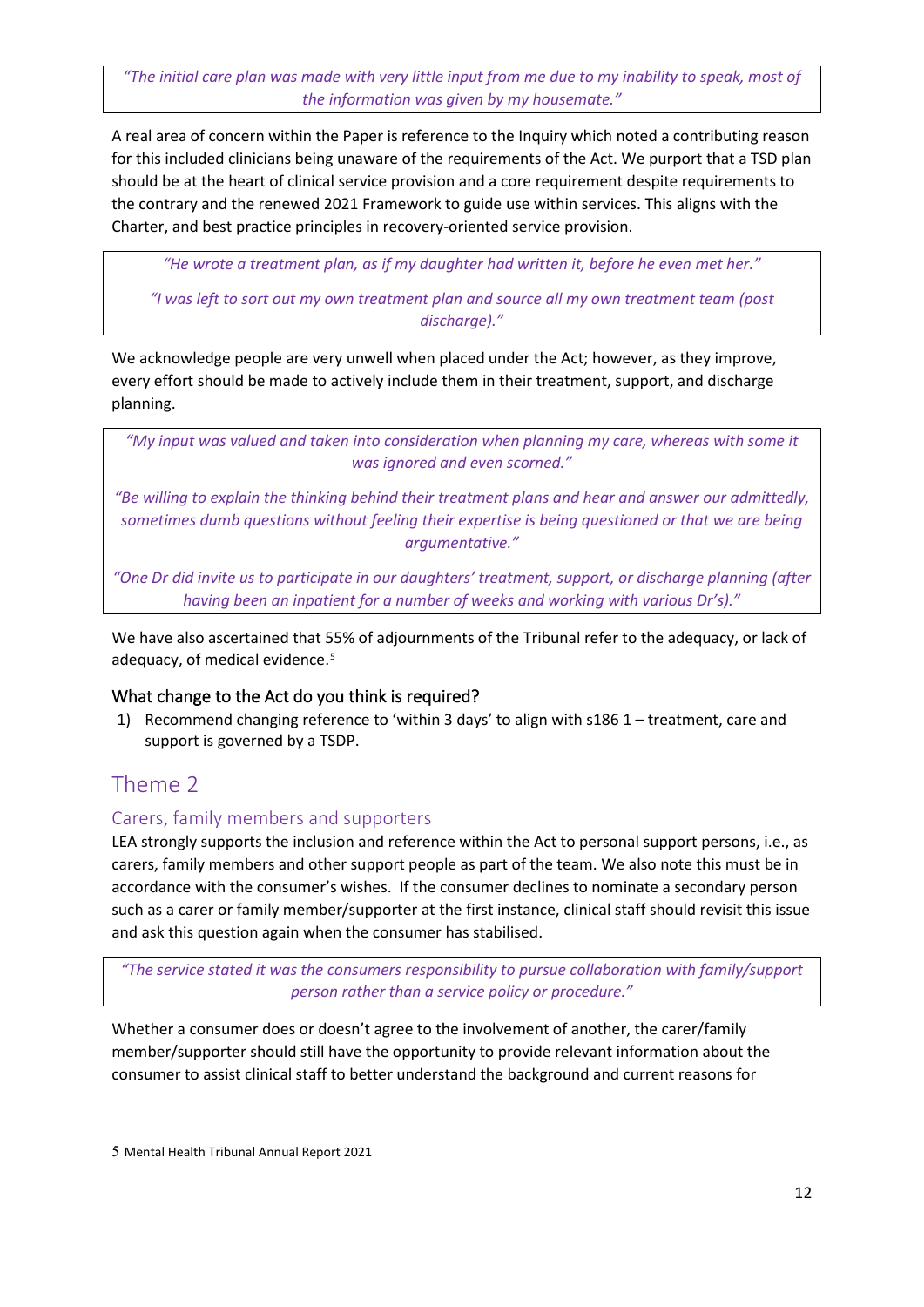*"The initial care plan was made with very little input from me due to my inability to speak, most of the information was given by my housemate."*

A real area of concern within the Paper is reference to the Inquiry which noted a contributing reason for this included clinicians being unaware of the requirements of the Act. We purport that a TSD plan should be at the heart of clinical service provision and a core requirement despite requirements to the contrary and the renewed 2021 Framework to guide use within services. This aligns with the Charter, and best practice principles in recovery-oriented service provision.

*"He wrote a treatment plan, as if my daughter had written it, before he even met her."*

*"I was left to sort out my own treatment plan and source all my own treatment team (post discharge)."*

We acknowledge people are very unwell when placed under the Act; however, as they improve, every effort should be made to actively include them in their treatment, support, and discharge planning.

*"My input was valued and taken into consideration when planning my care, whereas with some it was ignored and even scorned."*

*"Be willing to explain the thinking behind their treatment plans and hear and answer our admittedly, sometimes dumb questions without feeling their expertise is being questioned or that we are being argumentative."*

*"One Dr did invite us to participate in our daughters' treatment, support, or discharge planning (after having been an inpatient for a number of weeks and working with various Dr's)."*

We have also ascertained that 55% of adjournments of the Tribunal refer to the adequacy, or lack of adequacy, of medical evidence.<sup>[5](#page-11-3)</sup>

## <span id="page-11-0"></span>What change to the Act do you think is required?

1) Recommend changing reference to 'within 3 days' to align with s186 1 – treatment, care and support is governed by a TSDP.

# <span id="page-11-1"></span>Theme 2

## <span id="page-11-2"></span>Carers, family members and supporters

LEA strongly supports the inclusion and reference within the Act to personal support persons, i.e., as carers, family members and other support people as part of the team. We also note this must be in accordance with the consumer's wishes. If the consumer declines to nominate a secondary person such as a carer or family member/supporter at the first instance, clinical staff should revisit this issue and ask this question again when the consumer has stabilised.

*"The service stated it was the consumers responsibility to pursue collaboration with family/support person rather than a service policy or procedure."*

Whether a consumer does or doesn't agree to the involvement of another, the carer/family member/supporter should still have the opportunity to provide relevant information about the consumer to assist clinical staff to better understand the background and current reasons for

<span id="page-11-3"></span><sup>5</sup> Mental Health Tribunal Annual Report 2021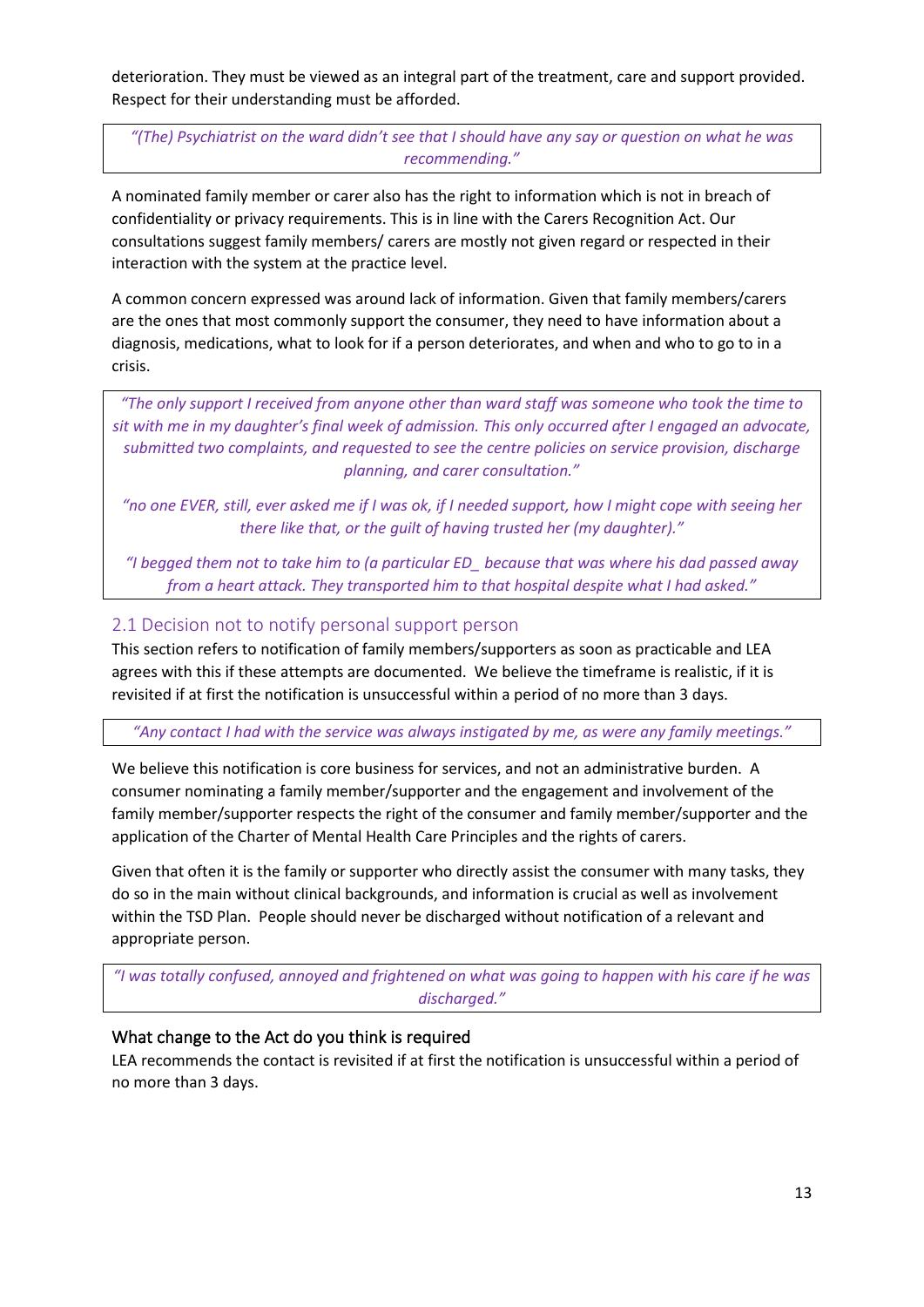deterioration. They must be viewed as an integral part of the treatment, care and support provided. Respect for their understanding must be afforded.

*"(The) Psychiatrist on the ward didn't see that I should have any say or question on what he was recommending."*

A nominated family member or carer also has the right to information which is not in breach of confidentiality or privacy requirements. This is in line with the Carers Recognition Act. Our consultations suggest family members/ carers are mostly not given regard or respected in their interaction with the system at the practice level.

A common concern expressed was around lack of information. Given that family members/carers are the ones that most commonly support the consumer, they need to have information about a diagnosis, medications, what to look for if a person deteriorates, and when and who to go to in a crisis.

*"The only support I received from anyone other than ward staff was someone who took the time to sit with me in my daughter's final week of admission. This only occurred after I engaged an advocate, submitted two complaints, and requested to see the centre policies on service provision, discharge planning, and carer consultation."*

*"no one EVER, still, ever asked me if I was ok, if I needed support, how I might cope with seeing her there like that, or the guilt of having trusted her (my daughter)."*

*"I begged them not to take him to (a particular ED\_ because that was where his dad passed away from a heart attack. They transported him to that hospital despite what I had asked."*

## <span id="page-12-0"></span>2.1 Decision not to notify personal support person

This section refers to notification of family members/supporters as soon as practicable and LEA agrees with this if these attempts are documented. We believe the timeframe is realistic, if it is revisited if at first the notification is unsuccessful within a period of no more than 3 days.

*"Any contact I had with the service was always instigated by me, as were any family meetings."*

We believe this notification is core business for services, and not an administrative burden. A consumer nominating a family member/supporter and the engagement and involvement of the family member/supporter respects the right of the consumer and family member/supporter and the application of the Charter of Mental Health Care Principles and the rights of carers.

Given that often it is the family or supporter who directly assist the consumer with many tasks, they do so in the main without clinical backgrounds, and information is crucial as well as involvement within the TSD Plan. People should never be discharged without notification of a relevant and appropriate person.

*"I was totally confused, annoyed and frightened on what was going to happen with his care if he was discharged."*

#### <span id="page-12-1"></span>What change to the Act do you think is required

LEA recommends the contact is revisited if at first the notification is unsuccessful within a period of no more than 3 days.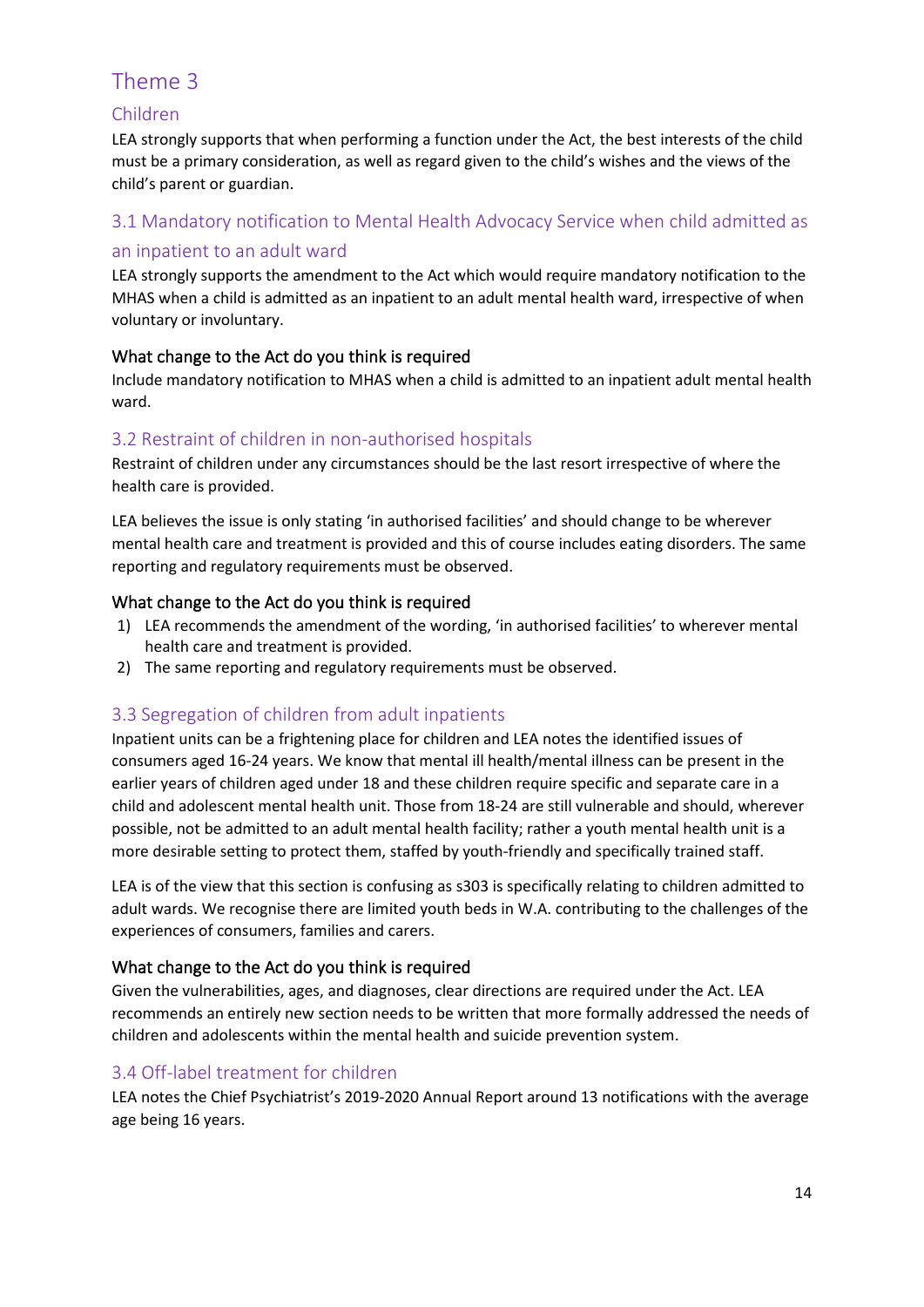# <span id="page-13-0"></span>Theme 3

# <span id="page-13-1"></span>Children

LEA strongly supports that when performing a function under the Act, the best interests of the child must be a primary consideration, as well as regard given to the child's wishes and the views of the child's parent or guardian.

# <span id="page-13-2"></span>3.1 Mandatory notification to Mental Health Advocacy Service when child admitted as

# <span id="page-13-3"></span>an inpatient to an adult ward

LEA strongly supports the amendment to the Act which would require mandatory notification to the MHAS when a child is admitted as an inpatient to an adult mental health ward, irrespective of when voluntary or involuntary.

# <span id="page-13-4"></span>What change to the Act do you think is required

Include mandatory notification to MHAS when a child is admitted to an inpatient adult mental health ward.

# <span id="page-13-5"></span>3.2 Restraint of children in non-authorised hospitals

Restraint of children under any circumstances should be the last resort irrespective of where the health care is provided.

LEA believes the issue is only stating 'in authorised facilities' and should change to be wherever mental health care and treatment is provided and this of course includes eating disorders. The same reporting and regulatory requirements must be observed.

# <span id="page-13-6"></span>What change to the Act do you think is required

- 1) LEA recommends the amendment of the wording, 'in authorised facilities' to wherever mental health care and treatment is provided.
- 2) The same reporting and regulatory requirements must be observed.

# <span id="page-13-7"></span>3.3 Segregation of children from adult inpatients

Inpatient units can be a frightening place for children and LEA notes the identified issues of consumers aged 16-24 years. We know that mental ill health/mental illness can be present in the earlier years of children aged under 18 and these children require specific and separate care in a child and adolescent mental health unit. Those from 18-24 are still vulnerable and should, wherever possible, not be admitted to an adult mental health facility; rather a youth mental health unit is a more desirable setting to protect them, staffed by youth-friendly and specifically trained staff.

LEA is of the view that this section is confusing as s303 is specifically relating to children admitted to adult wards. We recognise there are limited youth beds in W.A. contributing to the challenges of the experiences of consumers, families and carers.

# <span id="page-13-8"></span>What change to the Act do you think is required

Given the vulnerabilities, ages, and diagnoses, clear directions are required under the Act. LEA recommends an entirely new section needs to be written that more formally addressed the needs of children and adolescents within the mental health and suicide prevention system.

# <span id="page-13-9"></span>3.4 Off-label treatment for children

LEA notes the Chief Psychiatrist's 2019-2020 Annual Report around 13 notifications with the average age being 16 years.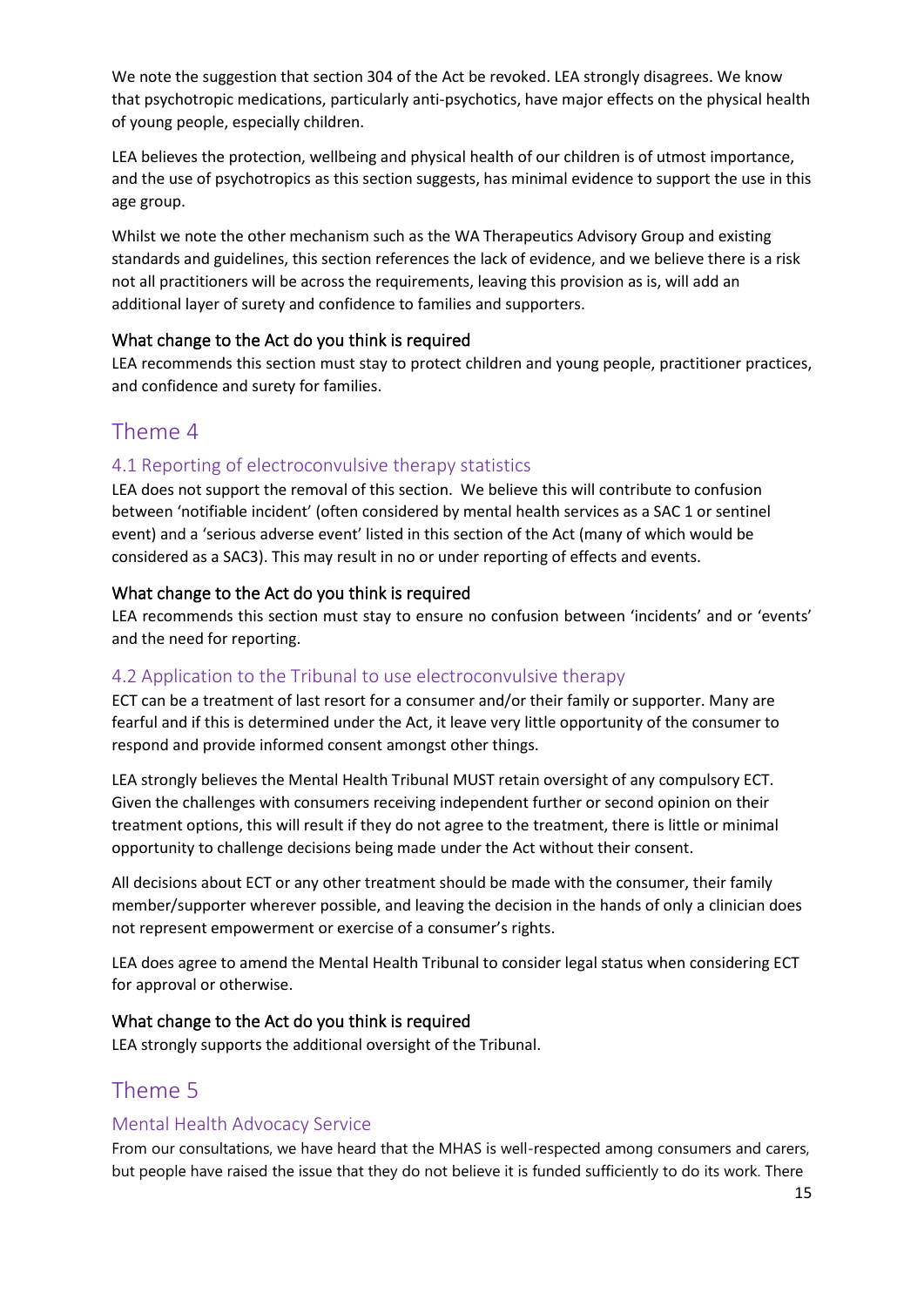We note the suggestion that section 304 of the Act be revoked. LEA strongly disagrees. We know that psychotropic medications, particularly anti-psychotics, have major effects on the physical health of young people, especially children.

LEA believes the protection, wellbeing and physical health of our children is of utmost importance, and the use of psychotropics as this section suggests, has minimal evidence to support the use in this age group.

Whilst we note the other mechanism such as the WA Therapeutics Advisory Group and existing standards and guidelines, this section references the lack of evidence, and we believe there is a risk not all practitioners will be across the requirements, leaving this provision as is, will add an additional layer of surety and confidence to families and supporters.

## <span id="page-14-0"></span>What change to the Act do you think is required

LEA recommends this section must stay to protect children and young people, practitioner practices, and confidence and surety for families.

# <span id="page-14-1"></span>Theme 4

## <span id="page-14-2"></span>4.1 Reporting of electroconvulsive therapy statistics

LEA does not support the removal of this section. We believe this will contribute to confusion between 'notifiable incident' (often considered by mental health services as a SAC 1 or sentinel event) and a 'serious adverse event' listed in this section of the Act (many of which would be considered as a SAC3). This may result in no or under reporting of effects and events.

## <span id="page-14-3"></span>What change to the Act do you think is required

LEA recommends this section must stay to ensure no confusion between 'incidents' and or 'events' and the need for reporting.

## <span id="page-14-4"></span>4.2 Application to the Tribunal to use electroconvulsive therapy

ECT can be a treatment of last resort for a consumer and/or their family or supporter. Many are fearful and if this is determined under the Act, it leave very little opportunity of the consumer to respond and provide informed consent amongst other things.

LEA strongly believes the Mental Health Tribunal MUST retain oversight of any compulsory ECT. Given the challenges with consumers receiving independent further or second opinion on their treatment options, this will result if they do not agree to the treatment, there is little or minimal opportunity to challenge decisions being made under the Act without their consent.

All decisions about ECT or any other treatment should be made with the consumer, their family member/supporter wherever possible, and leaving the decision in the hands of only a clinician does not represent empowerment or exercise of a consumer's rights.

LEA does agree to amend the Mental Health Tribunal to consider legal status when considering ECT for approval or otherwise.

## <span id="page-14-5"></span>What change to the Act do you think is required

LEA strongly supports the additional oversight of the Tribunal.

# <span id="page-14-6"></span>Theme 5

## <span id="page-14-7"></span>Mental Health Advocacy Service

From our consultations, we have heard that the MHAS is well-respected among consumers and carers, but people have raised the issue that they do not believe it is funded sufficiently to do its work. There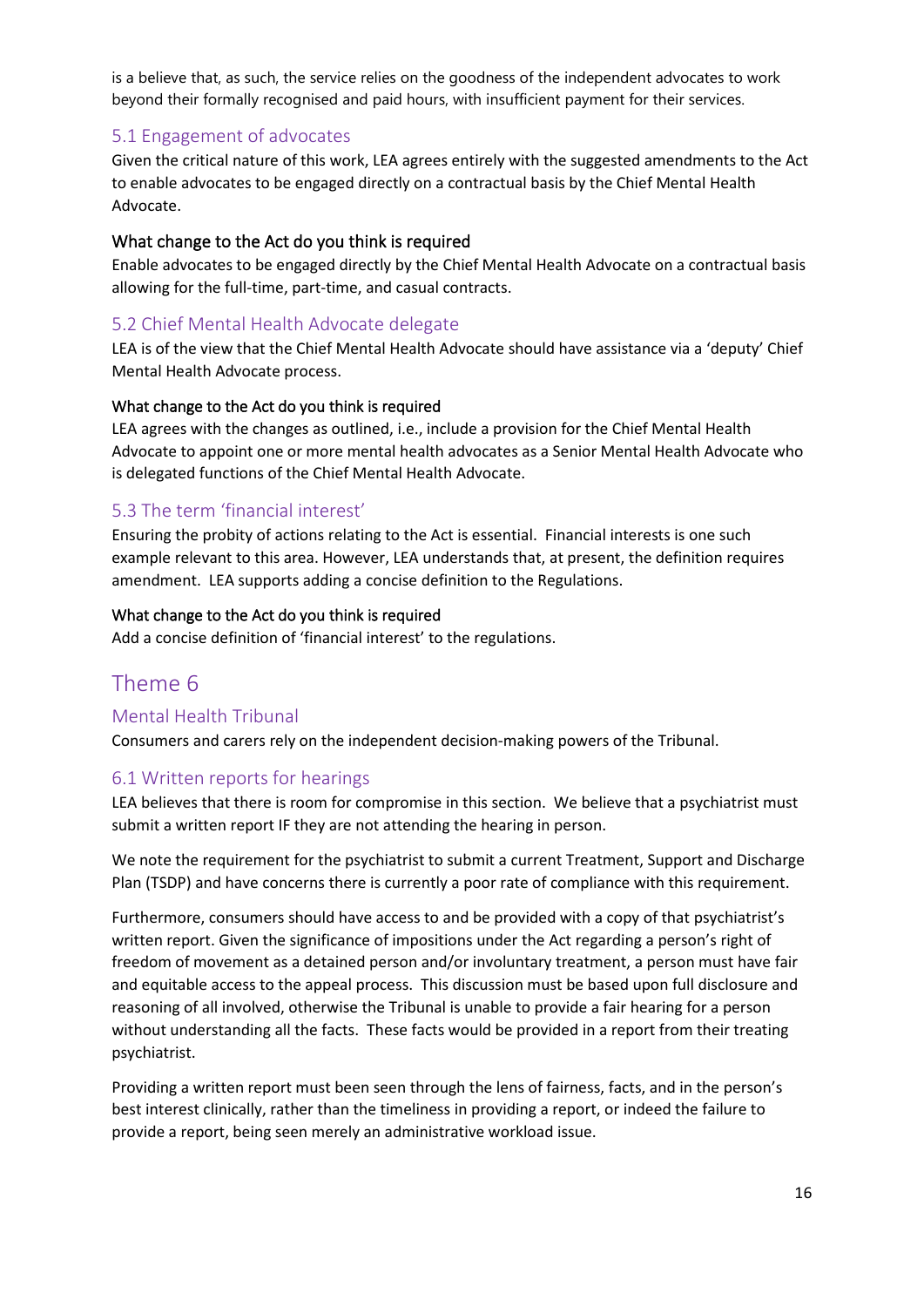is a believe that, as such, the service relies on the goodness of the independent advocates to work beyond their formally recognised and paid hours, with insufficient payment for their services.

## <span id="page-15-0"></span>5.1 Engagement of advocates

Given the critical nature of this work, LEA agrees entirely with the suggested amendments to the Act to enable advocates to be engaged directly on a contractual basis by the Chief Mental Health Advocate.

#### <span id="page-15-1"></span>What change to the Act do you think is required

Enable advocates to be engaged directly by the Chief Mental Health Advocate on a contractual basis allowing for the full-time, part-time, and casual contracts.

#### <span id="page-15-2"></span>5.2 Chief Mental Health Advocate delegate

LEA is of the view that the Chief Mental Health Advocate should have assistance via a 'deputy' Chief Mental Health Advocate process.

#### <span id="page-15-3"></span>What change to the Act do you think is required

LEA agrees with the changes as outlined, i.e., include a provision for the Chief Mental Health Advocate to appoint one or more mental health advocates as a Senior Mental Health Advocate who is delegated functions of the Chief Mental Health Advocate.

## <span id="page-15-4"></span>5.3 The term 'financial interest'

Ensuring the probity of actions relating to the Act is essential. Financial interests is one such example relevant to this area. However, LEA understands that, at present, the definition requires amendment. LEA supports adding a concise definition to the Regulations.

#### <span id="page-15-5"></span>What change to the Act do you think is required

Add a concise definition of 'financial interest' to the regulations.

# <span id="page-15-6"></span>Theme 6

## <span id="page-15-7"></span>Mental Health Tribunal

Consumers and carers rely on the independent decision-making powers of the Tribunal.

#### <span id="page-15-8"></span>6.1 Written reports for hearings

LEA believes that there is room for compromise in this section. We believe that a psychiatrist must submit a written report IF they are not attending the hearing in person.

We note the requirement for the psychiatrist to submit a current Treatment, Support and Discharge Plan (TSDP) and have concerns there is currently a poor rate of compliance with this requirement.

Furthermore, consumers should have access to and be provided with a copy of that psychiatrist's written report. Given the significance of impositions under the Act regarding a person's right of freedom of movement as a detained person and/or involuntary treatment, a person must have fair and equitable access to the appeal process. This discussion must be based upon full disclosure and reasoning of all involved, otherwise the Tribunal is unable to provide a fair hearing for a person without understanding all the facts. These facts would be provided in a report from their treating psychiatrist.

Providing a written report must been seen through the lens of fairness, facts, and in the person's best interest clinically, rather than the timeliness in providing a report, or indeed the failure to provide a report, being seen merely an administrative workload issue.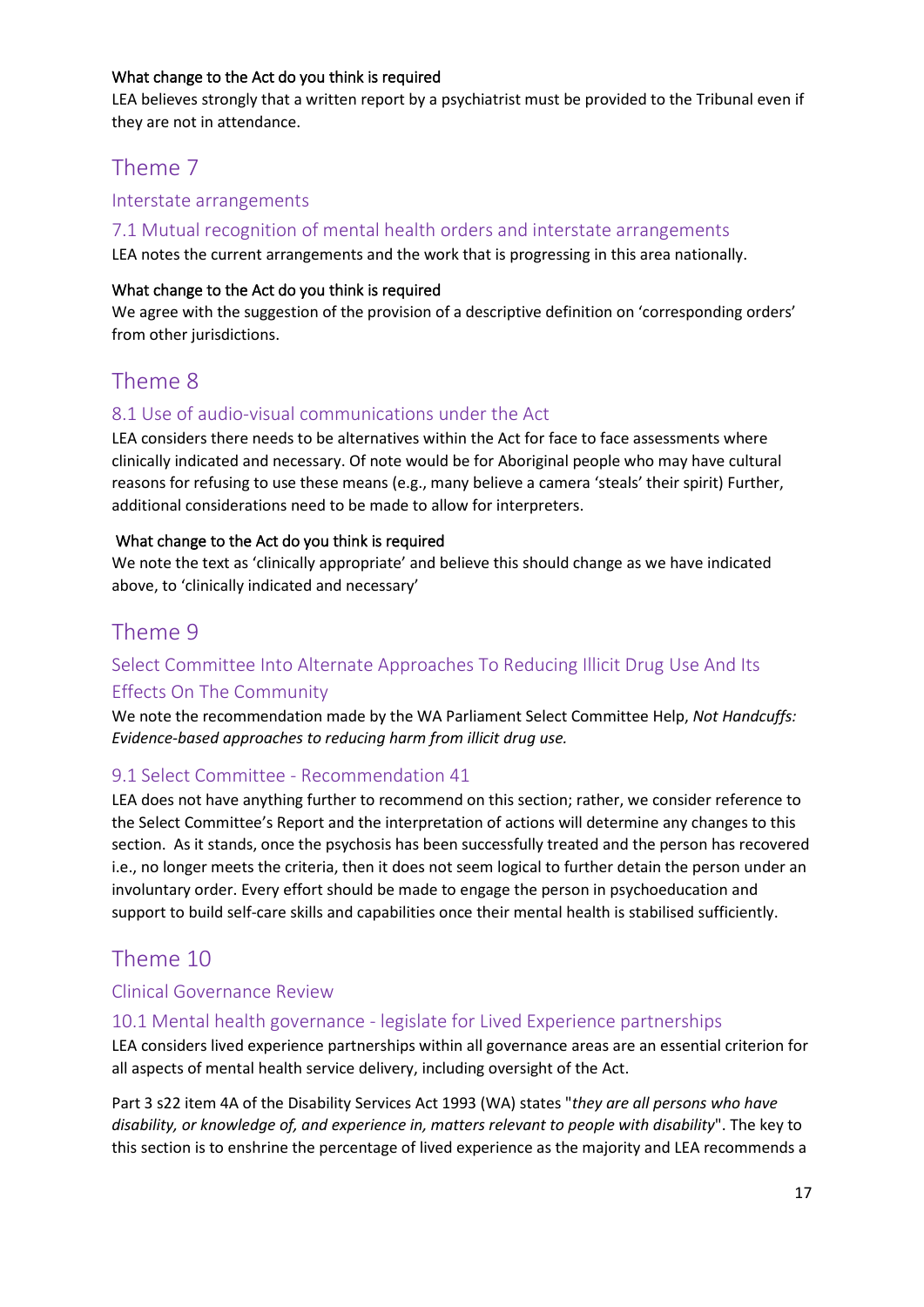## <span id="page-16-0"></span>What change to the Act do you think is required

LEA believes strongly that a written report by a psychiatrist must be provided to the Tribunal even if they are not in attendance.

# <span id="page-16-1"></span>Theme 7

## <span id="page-16-2"></span>Interstate arrangements

## <span id="page-16-3"></span>7.1 Mutual recognition of mental health orders and interstate arrangements

LEA notes the current arrangements and the work that is progressing in this area nationally.

#### <span id="page-16-4"></span>What change to the Act do you think is required

We agree with the suggestion of the provision of a descriptive definition on 'corresponding orders' from other jurisdictions.

# <span id="page-16-5"></span>Theme 8

## <span id="page-16-6"></span>8.1 Use of audio-visual communications under the Act

LEA considers there needs to be alternatives within the Act for face to face assessments where clinically indicated and necessary. Of note would be for Aboriginal people who may have cultural reasons for refusing to use these means (e.g., many believe a camera 'steals' their spirit) Further, additional considerations need to be made to allow for interpreters.

## <span id="page-16-7"></span>What change to the Act do you think is required

We note the text as 'clinically appropriate' and believe this should change as we have indicated above, to 'clinically indicated and necessary'

# <span id="page-16-8"></span>Theme 9

# <span id="page-16-9"></span>Select Committee Into Alternate Approaches To Reducing Illicit Drug Use And Its Effects On The Community

We note the recommendation made by the WA Parliament Select Committee Help, *Not Handcuffs: Evidence-based approaches to reducing harm from illicit drug use.*

## <span id="page-16-10"></span>9.1 Select Committee - Recommendation 41

LEA does not have anything further to recommend on this section; rather, we consider reference to the Select Committee's Report and the interpretation of actions will determine any changes to this section. As it stands, once the psychosis has been successfully treated and the person has recovered i.e., no longer meets the criteria, then it does not seem logical to further detain the person under an involuntary order. Every effort should be made to engage the person in psychoeducation and support to build self-care skills and capabilities once their mental health is stabilised sufficiently.

# <span id="page-16-11"></span>Theme 10

## <span id="page-16-12"></span>Clinical Governance Review

## <span id="page-16-13"></span>10.1 Mental health governance - legislate for Lived Experience partnerships

LEA considers lived experience partnerships within all governance areas are an essential criterion for all aspects of mental health service delivery, including oversight of the Act.

Part 3 s22 item 4A of the Disability Services Act 1993 (WA) states "*they are all persons who have disability, or knowledge of, and experience in, matters relevant to people with disability*". The key to this section is to enshrine the percentage of lived experience as the majority and LEA recommends a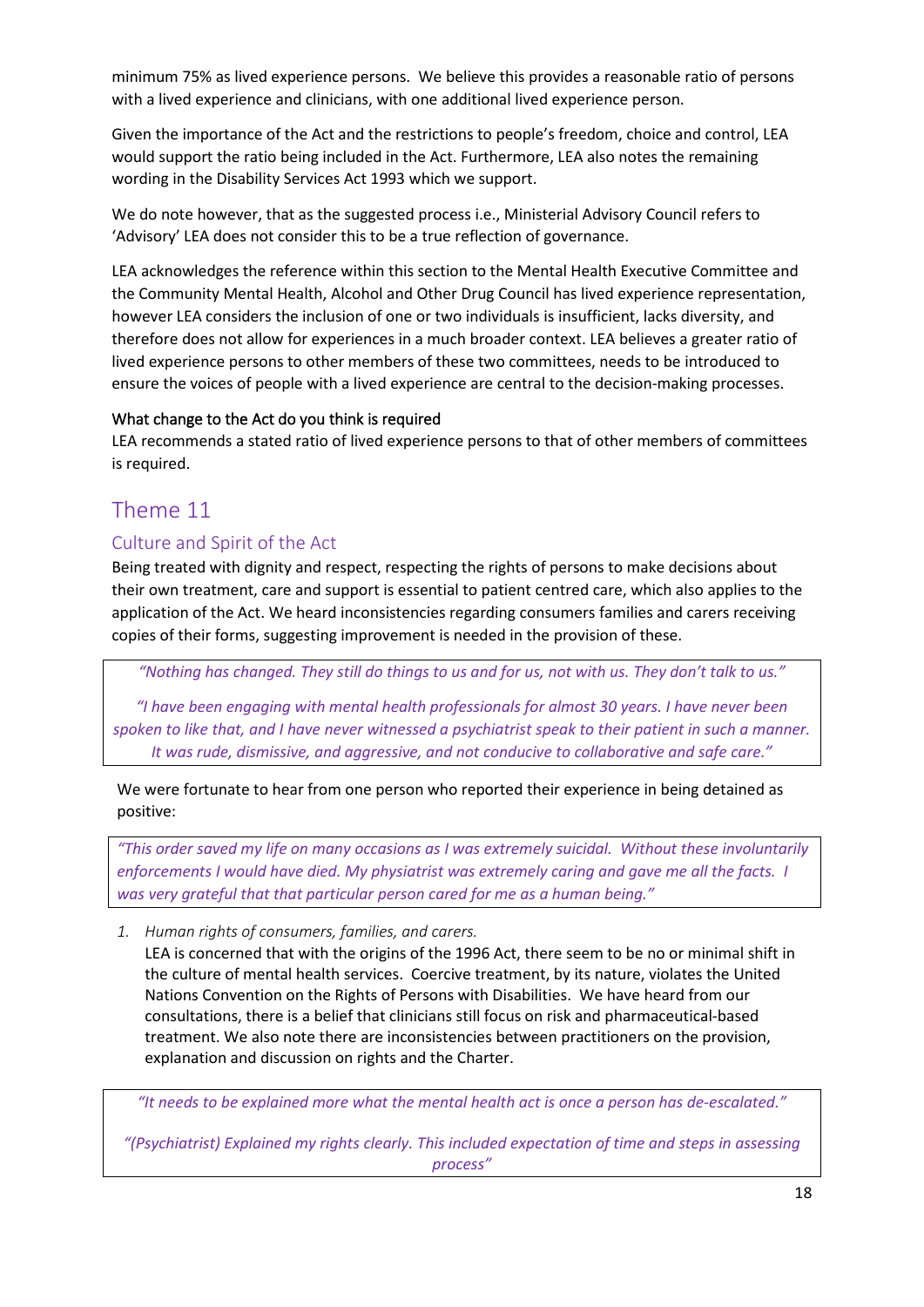minimum 75% as lived experience persons. We believe this provides a reasonable ratio of persons with a lived experience and clinicians, with one additional lived experience person.

Given the importance of the Act and the restrictions to people's freedom, choice and control, LEA would support the ratio being included in the Act. Furthermore, LEA also notes the remaining wording in the Disability Services Act 1993 which we support.

We do note however, that as the suggested process i.e., Ministerial Advisory Council refers to 'Advisory' LEA does not consider this to be a true reflection of governance.

LEA acknowledges the reference within this section to the Mental Health Executive Committee and the Community Mental Health, Alcohol and Other Drug Council has lived experience representation, however LEA considers the inclusion of one or two individuals is insufficient, lacks diversity, and therefore does not allow for experiences in a much broader context. LEA believes a greater ratio of lived experience persons to other members of these two committees, needs to be introduced to ensure the voices of people with a lived experience are central to the decision-making processes.

## <span id="page-17-0"></span>What change to the Act do you think is required

LEA recommends a stated ratio of lived experience persons to that of other members of committees is required.

# <span id="page-17-1"></span>Theme 11

## <span id="page-17-2"></span>Culture and Spirit of the Act

Being treated with dignity and respect, respecting the rights of persons to make decisions about their own treatment, care and support is essential to patient centred care, which also applies to the application of the Act. We heard inconsistencies regarding consumers families and carers receiving copies of their forms, suggesting improvement is needed in the provision of these.

*"Nothing has changed. They still do things to us and for us, not with us. They don't talk to us."*

*"I have been engaging with mental health professionals for almost 30 years. I have never been spoken to like that, and I have never witnessed a psychiatrist speak to their patient in such a manner. It was rude, dismissive, and aggressive, and not conducive to collaborative and safe care."*

We were fortunate to hear from one person who reported their experience in being detained as positive:

*"This order saved my life on many occasions as I was extremely suicidal. Without these involuntarily enforcements I would have died. My physiatrist was extremely caring and gave me all the facts. I was very grateful that that particular person cared for me as a human being."*

<span id="page-17-3"></span>*1. Human rights of consumers, families, and carers.*

LEA is concerned that with the origins of the 1996 Act, there seem to be no or minimal shift in the culture of mental health services. Coercive treatment, by its nature, violates the United Nations Convention on the Rights of Persons with Disabilities. We have heard from our consultations, there is a belief that clinicians still focus on risk and pharmaceutical-based treatment. We also note there are inconsistencies between practitioners on the provision, explanation and discussion on rights and the Charter.

*"It needs to be explained more what the mental health act is once a person has de-escalated."*

*"(Psychiatrist) Explained my rights clearly. This included expectation of time and steps in assessing process"*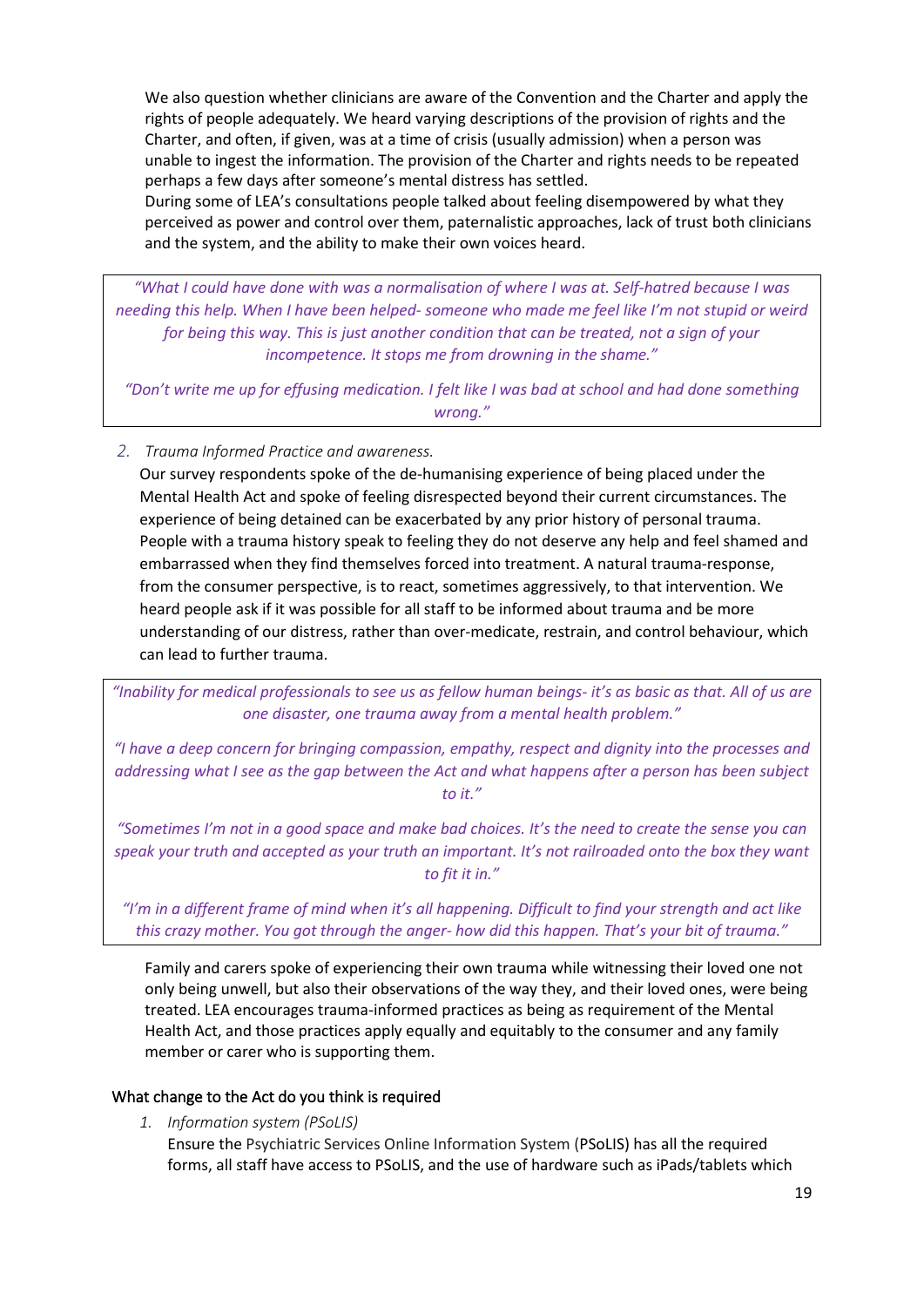We also question whether clinicians are aware of the Convention and the Charter and apply the rights of people adequately. We heard varying descriptions of the provision of rights and the Charter, and often, if given, was at a time of crisis (usually admission) when a person was unable to ingest the information. The provision of the Charter and rights needs to be repeated perhaps a few days after someone's mental distress has settled.

During some of LEA's consultations people talked about feeling disempowered by what they perceived as power and control over them, paternalistic approaches, lack of trust both clinicians and the system, and the ability to make their own voices heard.

*"What I could have done with was a normalisation of where I was at. Self-hatred because I was needing this help. When I have been helped- someone who made me feel like I'm not stupid or weird for being this way. This is just another condition that can be treated, not a sign of your incompetence. It stops me from drowning in the shame."*

*"Don't write me up for effusing medication. I felt like I was bad at school and had done something wrong."*

<span id="page-18-0"></span>*2. Trauma Informed Practice and awareness.*

Our survey respondents spoke of the de-humanising experience of being placed under the Mental Health Act and spoke of feeling disrespected beyond their current circumstances. The experience of being detained can be exacerbated by any prior history of personal trauma. People with a trauma history speak to feeling they do not deserve any help and feel shamed and embarrassed when they find themselves forced into treatment. A natural trauma-response, from the consumer perspective, is to react, sometimes aggressively, to that intervention. We heard people ask if it was possible for all staff to be informed about trauma and be more understanding of our distress, rather than over-medicate, restrain, and control behaviour, which can lead to further trauma.

*"Inability for medical professionals to see us as fellow human beings- it's as basic as that. All of us are one disaster, one trauma away from a mental health problem."*

*"I have a deep concern for bringing compassion, empathy, respect and dignity into the processes and addressing what I see as the gap between the Act and what happens after a person has been subject to it."*

*"Sometimes I'm not in a good space and make bad choices. It's the need to create the sense you can speak your truth and accepted as your truth an important. It's not railroaded onto the box they want to fit it in."*

*"I'm in a different frame of mind when it's all happening. Difficult to find your strength and act like this crazy mother. You got through the anger- how did this happen. That's your bit of trauma."*

Family and carers spoke of experiencing their own trauma while witnessing their loved one not only being unwell, but also their observations of the way they, and their loved ones, were being treated. LEA encourages trauma-informed practices as being as requirement of the Mental Health Act, and those practices apply equally and equitably to the consumer and any family member or carer who is supporting them.

#### <span id="page-18-2"></span><span id="page-18-1"></span>What change to the Act do you think is required

*1. Information system (PSoLIS)*

Ensure the Psychiatric Services Online Information System (PSoLIS) has all the required forms, all staff have access to PSoLIS, and the use of hardware such as iPads/tablets which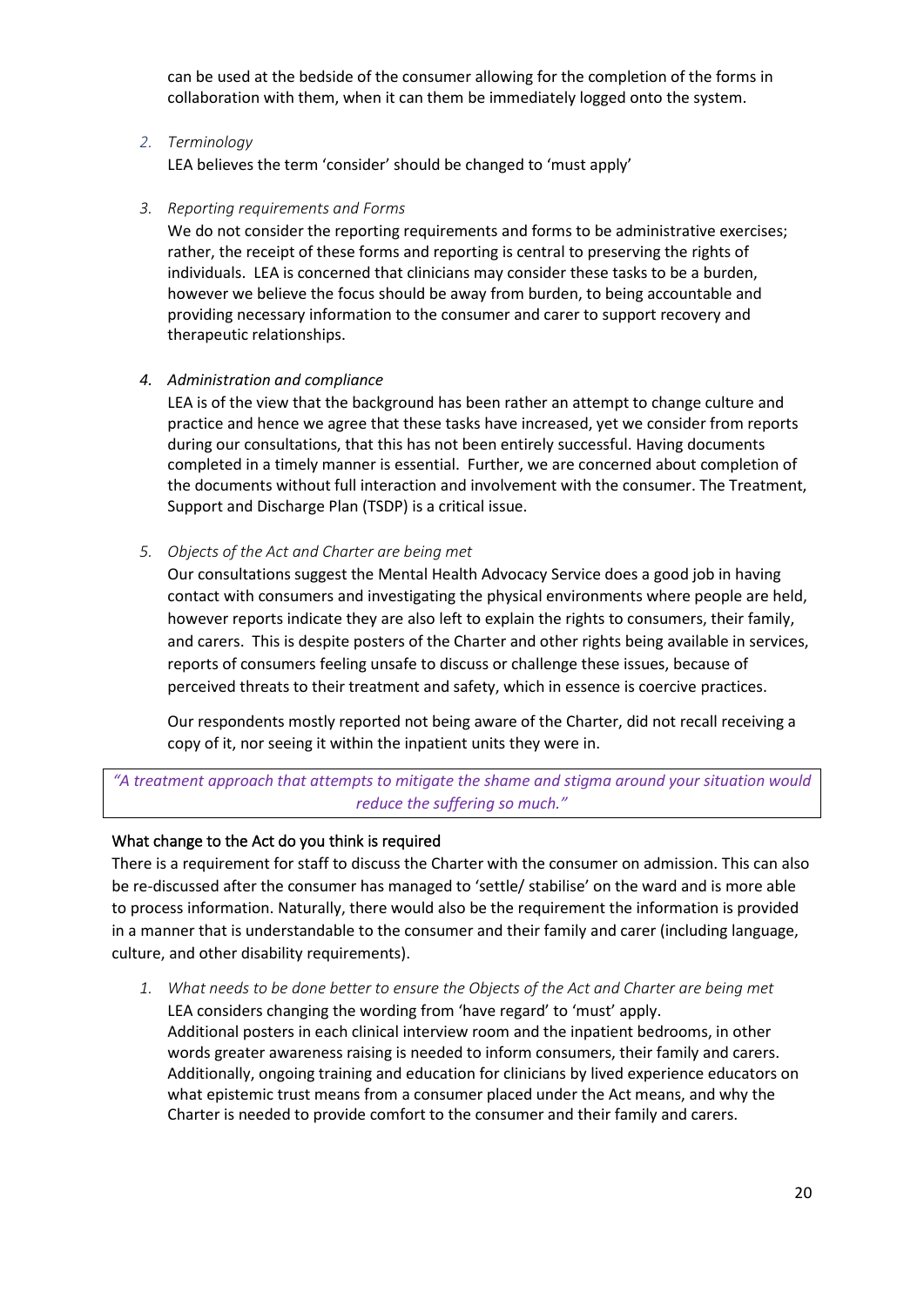can be used at the bedside of the consumer allowing for the completion of the forms in collaboration with them, when it can them be immediately logged onto the system.

#### <span id="page-19-0"></span>*2. Terminology*

LEA believes the term 'consider' should be changed to 'must apply'

#### <span id="page-19-1"></span>*3. Reporting requirements and Forms*

We do not consider the reporting requirements and forms to be administrative exercises; rather, the receipt of these forms and reporting is central to preserving the rights of individuals. LEA is concerned that clinicians may consider these tasks to be a burden, however we believe the focus should be away from burden, to being accountable and providing necessary information to the consumer and carer to support recovery and therapeutic relationships.

#### <span id="page-19-2"></span>*4. Administration and compliance*

LEA is of the view that the background has been rather an attempt to change culture and practice and hence we agree that these tasks have increased, yet we consider from reports during our consultations, that this has not been entirely successful. Having documents completed in a timely manner is essential. Further, we are concerned about completion of the documents without full interaction and involvement with the consumer. The Treatment, Support and Discharge Plan (TSDP) is a critical issue.

#### <span id="page-19-3"></span>*5. Objects of the Act and Charter are being met*

Our consultations suggest the Mental Health Advocacy Service does a good job in having contact with consumers and investigating the physical environments where people are held, however reports indicate they are also left to explain the rights to consumers, their family, and carers. This is despite posters of the Charter and other rights being available in services, reports of consumers feeling unsafe to discuss or challenge these issues, because of perceived threats to their treatment and safety, which in essence is coercive practices.

Our respondents mostly reported not being aware of the Charter, did not recall receiving a copy of it, nor seeing it within the inpatient units they were in.

## *"A treatment approach that attempts to mitigate the shame and stigma around your situation would reduce the suffering so much."*

## <span id="page-19-4"></span>What change to the Act do you think is required

There is a requirement for staff to discuss the Charter with the consumer on admission. This can also be re-discussed after the consumer has managed to 'settle/ stabilise' on the ward and is more able to process information. Naturally, there would also be the requirement the information is provided in a manner that is understandable to the consumer and their family and carer (including language, culture, and other disability requirements).

<span id="page-19-5"></span>*1. What needs to be done better to ensure the Objects of the Act and Charter are being met* LEA considers changing the wording from 'have regard' to 'must' apply. Additional posters in each clinical interview room and the inpatient bedrooms, in other words greater awareness raising is needed to inform consumers, their family and carers. Additionally, ongoing training and education for clinicians by lived experience educators on what epistemic trust means from a consumer placed under the Act means, and why the Charter is needed to provide comfort to the consumer and their family and carers.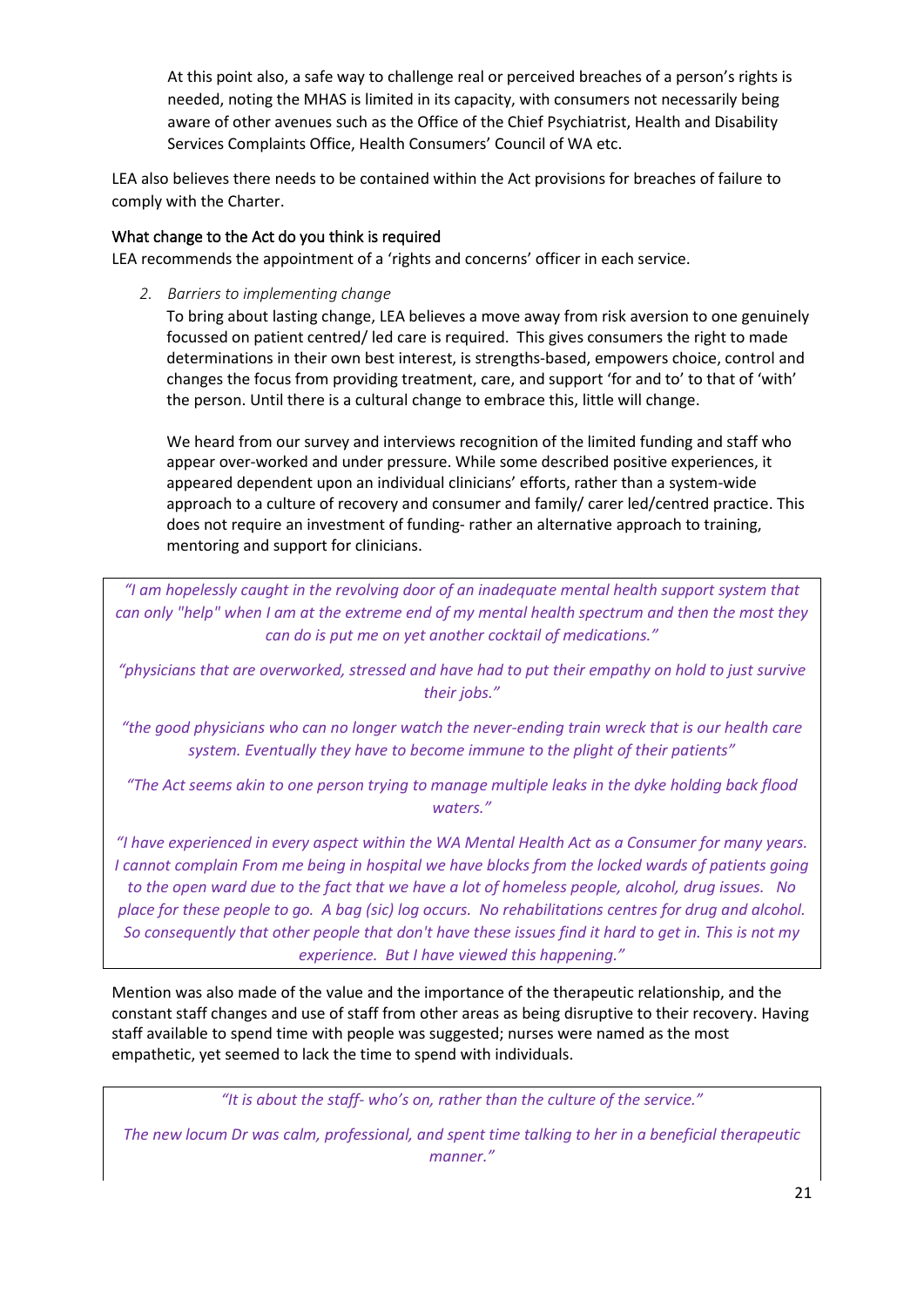At this point also, a safe way to challenge real or perceived breaches of a person's rights is needed, noting the MHAS is limited in its capacity, with consumers not necessarily being aware of other avenues such as the Office of the Chief Psychiatrist, Health and Disability Services Complaints Office, Health Consumers' Council of WA etc.

LEA also believes there needs to be contained within the Act provisions for breaches of failure to comply with the Charter.

## <span id="page-20-0"></span>What change to the Act do you think is required

LEA recommends the appointment of a 'rights and concerns' officer in each service.

<span id="page-20-1"></span>*2. Barriers to implementing change*

To bring about lasting change, LEA believes a move away from risk aversion to one genuinely focussed on patient centred/ led care is required. This gives consumers the right to made determinations in their own best interest, is strengths-based, empowers choice, control and changes the focus from providing treatment, care, and support 'for and to' to that of 'with' the person. Until there is a cultural change to embrace this, little will change.

We heard from our survey and interviews recognition of the limited funding and staff who appear over-worked and under pressure. While some described positive experiences, it appeared dependent upon an individual clinicians' efforts, rather than a system-wide approach to a culture of recovery and consumer and family/ carer led/centred practice. This does not require an investment of funding- rather an alternative approach to training, mentoring and support for clinicians.

*"I am hopelessly caught in the revolving door of an inadequate mental health support system that can only "help" when I am at the extreme end of my mental health spectrum and then the most they can do is put me on yet another cocktail of medications."*

*"physicians that are overworked, stressed and have had to put their empathy on hold to just survive their jobs."*

*"the good physicians who can no longer watch the never-ending train wreck that is our health care system. Eventually they have to become immune to the plight of their patients"*

*"The Act seems akin to one person trying to manage multiple leaks in the dyke holding back flood waters."*

*"I have experienced in every aspect within the WA Mental Health Act as a Consumer for many years. I cannot complain From me being in hospital we have blocks from the locked wards of patients going to the open ward due to the fact that we have a lot of homeless people, alcohol, drug issues. No place for these people to go. A bag (sic) log occurs. No rehabilitations centres for drug and alcohol. So consequently that other people that don't have these issues find it hard to get in. This is not my experience. But I have viewed this happening."*

Mention was also made of the value and the importance of the therapeutic relationship, and the constant staff changes and use of staff from other areas as being disruptive to their recovery. Having staff available to spend time with people was suggested; nurses were named as the most empathetic, yet seemed to lack the time to spend with individuals.

*"It is about the staff- who's on, rather than the culture of the service."*

*The new locum Dr was calm, professional, and spent time talking to her in a beneficial therapeutic manner."*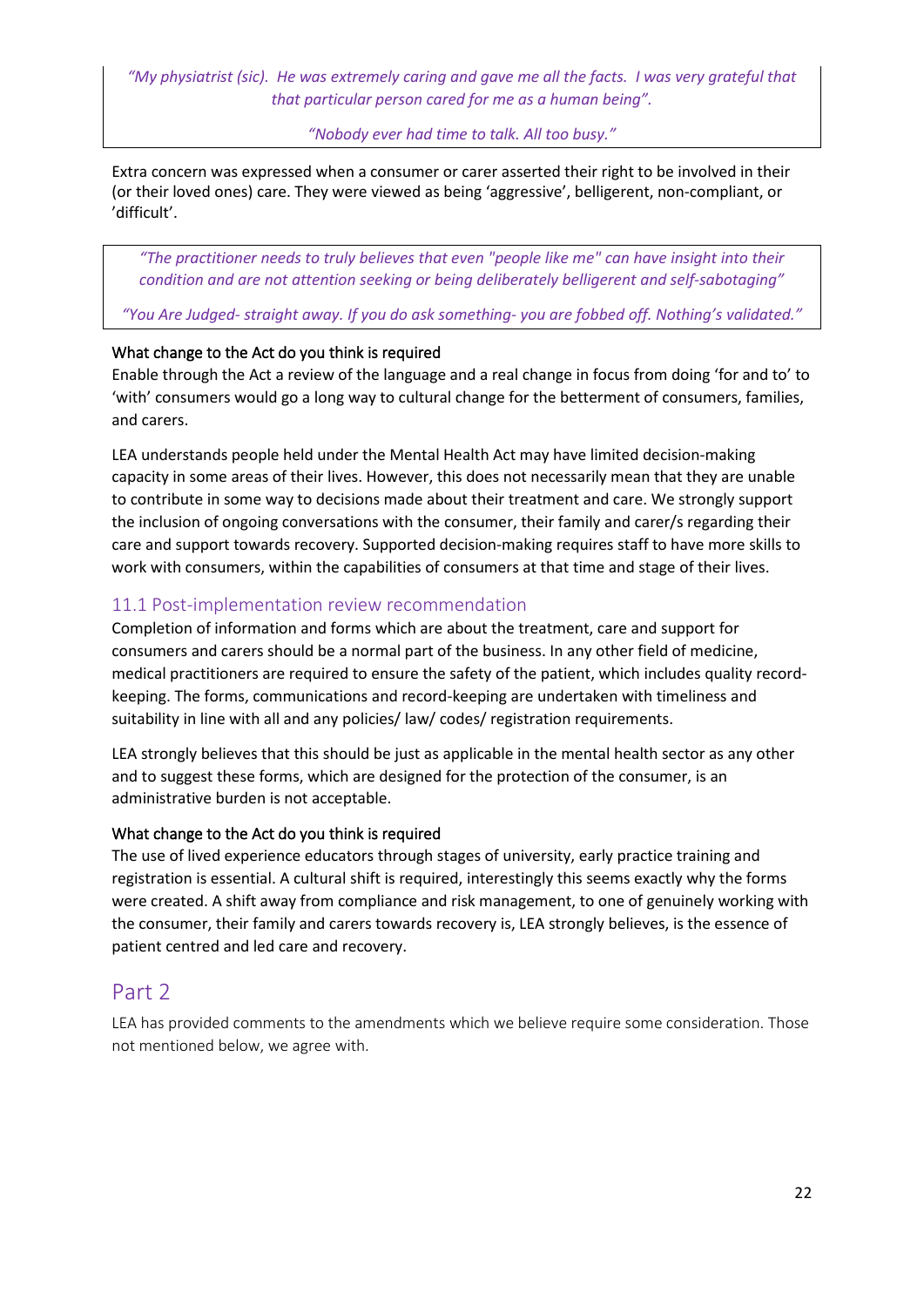*"My physiatrist (sic). He was extremely caring and gave me all the facts. I was very grateful that that particular person cared for me as a human being".*

*"Nobody ever had time to talk. All too busy."*

Extra concern was expressed when a consumer or carer asserted their right to be involved in their (or their loved ones) care. They were viewed as being 'aggressive', belligerent, non-compliant, or 'difficult'.

*"The practitioner needs to truly believes that even "people like me" can have insight into their condition and are not attention seeking or being deliberately belligerent and self-sabotaging"*

*"You Are Judged- straight away. If you do ask something- you are fobbed off. Nothing's validated."*

## <span id="page-21-0"></span>What change to the Act do you think is required

Enable through the Act a review of the language and a real change in focus from doing 'for and to' to 'with' consumers would go a long way to cultural change for the betterment of consumers, families, and carers.

LEA understands people held under the Mental Health Act may have limited decision-making capacity in some areas of their lives. However, this does not necessarily mean that they are unable to contribute in some way to decisions made about their treatment and care. We strongly support the inclusion of ongoing conversations with the consumer, their family and carer/s regarding their care and support towards recovery. Supported decision-making requires staff to have more skills to work with consumers, within the capabilities of consumers at that time and stage of their lives.

# <span id="page-21-1"></span>11.1 Post-implementation review recommendation

Completion of information and forms which are about the treatment, care and support for consumers and carers should be a normal part of the business. In any other field of medicine, medical practitioners are required to ensure the safety of the patient, which includes quality recordkeeping. The forms, communications and record-keeping are undertaken with timeliness and suitability in line with all and any policies/ law/ codes/ registration requirements.

LEA strongly believes that this should be just as applicable in the mental health sector as any other and to suggest these forms, which are designed for the protection of the consumer, is an administrative burden is not acceptable.

## <span id="page-21-2"></span>What change to the Act do you think is required

The use of lived experience educators through stages of university, early practice training and registration is essential. A cultural shift is required, interestingly this seems exactly why the forms were created. A shift away from compliance and risk management, to one of genuinely working with the consumer, their family and carers towards recovery is, LEA strongly believes, is the essence of patient centred and led care and recovery.

# <span id="page-21-3"></span>Part 2

<span id="page-21-4"></span>LEA has provided comments to the amendments which we believe require some consideration. Those not mentioned below, we agree with.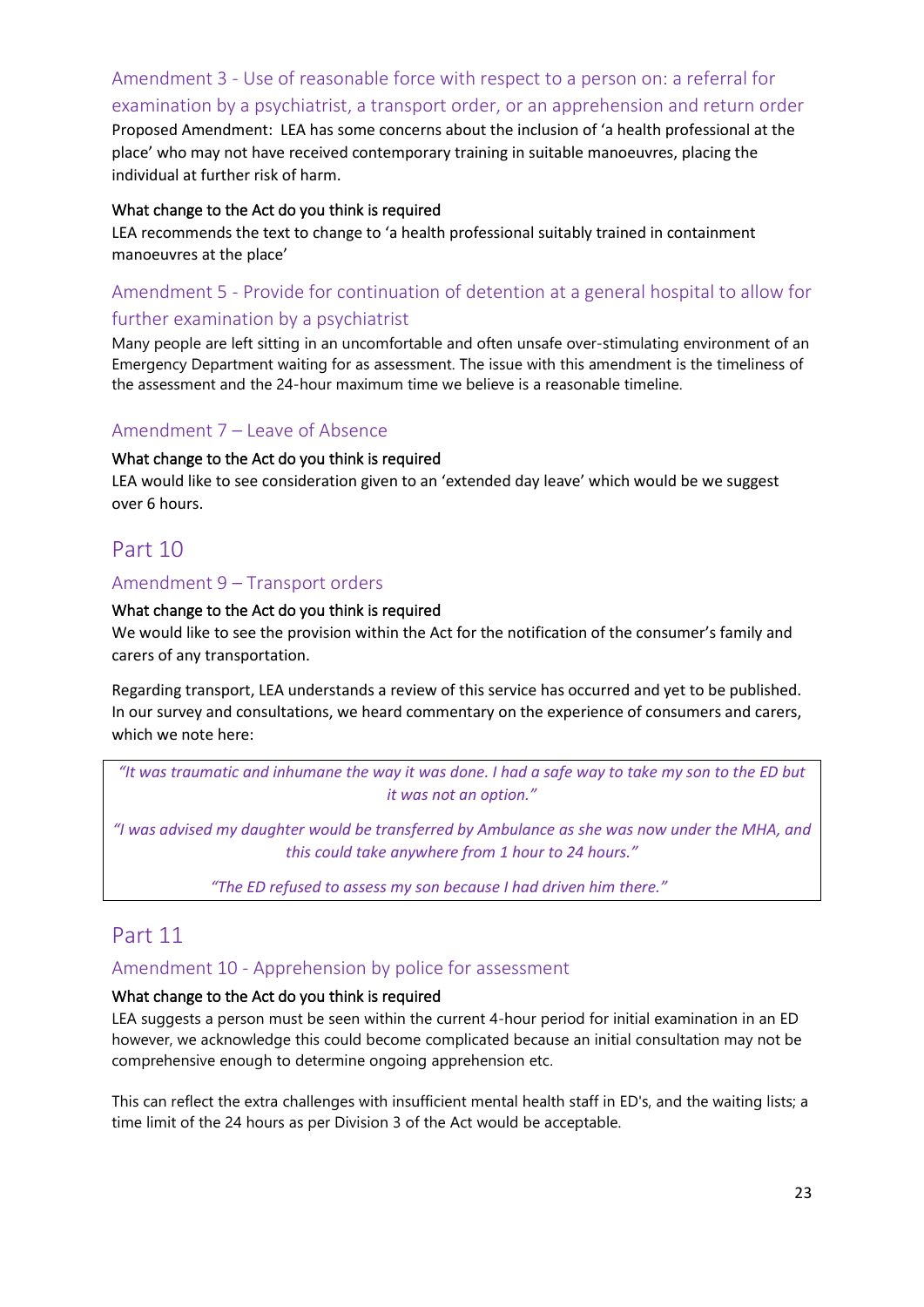<span id="page-22-0"></span>Amendment 3 - Use of reasonable force with respect to a person on: a referral for examination by a psychiatrist, a transport order, or an apprehension and return order Proposed Amendment: LEA has some concerns about the inclusion of 'a health professional at the place' who may not have received contemporary training in suitable manoeuvres, placing the individual at further risk of harm.

#### <span id="page-22-1"></span>What change to the Act do you think is required

LEA recommends the text to change to 'a health professional suitably trained in containment manoeuvres at the place'

# <span id="page-22-2"></span>Amendment 5 - Provide for continuation of detention at a general hospital to allow for further examination by a psychiatrist

Many people are left sitting in an uncomfortable and often unsafe over-stimulating environment of an Emergency Department waiting for as assessment. The issue with this amendment is the timeliness of the assessment and the 24-hour maximum time we believe is a reasonable timeline.

## <span id="page-22-3"></span>Amendment 7 – Leave of Absence

#### <span id="page-22-4"></span>What change to the Act do you think is required

LEA would like to see consideration given to an 'extended day leave' which would be we suggest over 6 hours.

# <span id="page-22-5"></span>Part 10

#### <span id="page-22-6"></span>Amendment 9 – Transport orders

#### <span id="page-22-7"></span>What change to the Act do you think is required

We would like to see the provision within the Act for the notification of the consumer's family and carers of any transportation.

Regarding transport, LEA understands a review of this service has occurred and yet to be published. In our survey and consultations, we heard commentary on the experience of consumers and carers, which we note here:

*"It was traumatic and inhumane the way it was done. I had a safe way to take my son to the ED but it was not an option."*

*"I was advised my daughter would be transferred by Ambulance as she was now under the MHA, and this could take anywhere from 1 hour to 24 hours."*

*"The ED refused to assess my son because I had driven him there."*

# <span id="page-22-8"></span>Part 11

<span id="page-22-9"></span>Amendment 10 - Apprehension by police for assessment

#### <span id="page-22-10"></span>What change to the Act do you think is required

LEA suggests a person must be seen within the current 4-hour period for initial examination in an ED however, we acknowledge this could become complicated because an initial consultation may not be comprehensive enough to determine ongoing apprehension etc.

This can reflect the extra challenges with insufficient mental health staff in ED's, and the waiting lists; a time limit of the 24 hours as per Division 3 of the Act would be acceptable.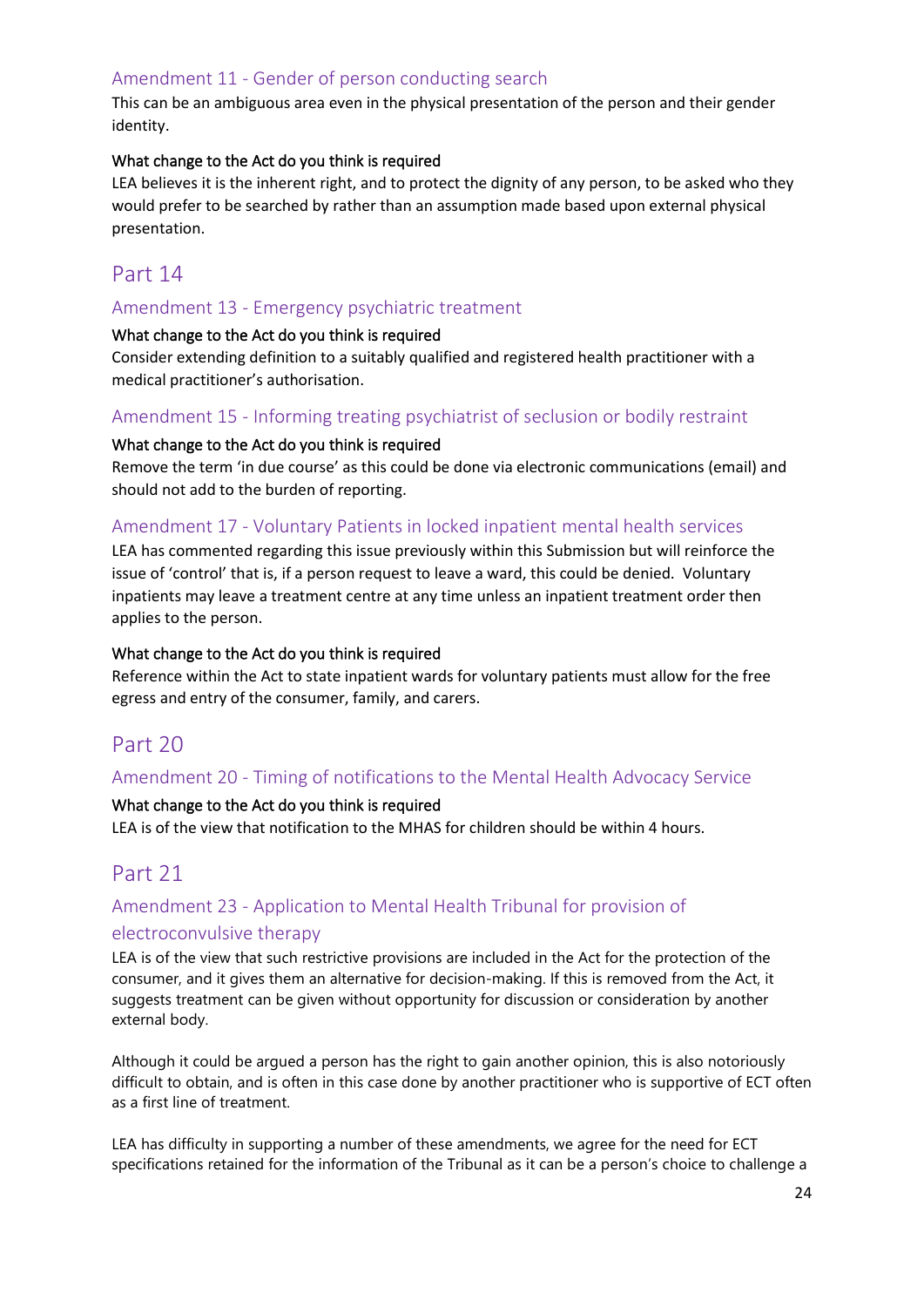# <span id="page-23-0"></span>Amendment 11 - Gender of person conducting search

This can be an ambiguous area even in the physical presentation of the person and their gender identity.

#### <span id="page-23-1"></span>What change to the Act do you think is required

LEA believes it is the inherent right, and to protect the dignity of any person, to be asked who they would prefer to be searched by rather than an assumption made based upon external physical presentation.

# <span id="page-23-2"></span>Part 14

## <span id="page-23-3"></span>Amendment 13 - Emergency psychiatric treatment

#### <span id="page-23-4"></span>What change to the Act do you think is required

Consider extending definition to a suitably qualified and registered health practitioner with a medical practitioner's authorisation.

## <span id="page-23-5"></span>Amendment 15 - Informing treating psychiatrist of seclusion or bodily restraint

#### <span id="page-23-6"></span>What change to the Act do you think is required

Remove the term 'in due course' as this could be done via electronic communications (email) and should not add to the burden of reporting.

## <span id="page-23-7"></span>Amendment 17 - Voluntary Patients in locked inpatient mental health services

LEA has commented regarding this issue previously within this Submission but will reinforce the issue of 'control' that is, if a person request to leave a ward, this could be denied. Voluntary inpatients may leave a treatment centre at any time unless an inpatient treatment order then applies to the person.

#### <span id="page-23-8"></span>What change to the Act do you think is required

Reference within the Act to state inpatient wards for voluntary patients must allow for the free egress and entry of the consumer, family, and carers.

# <span id="page-23-9"></span>Part 20

## <span id="page-23-10"></span>Amendment 20 - Timing of notifications to the Mental Health Advocacy Service

#### <span id="page-23-11"></span>What change to the Act do you think is required

LEA is of the view that notification to the MHAS for children should be within 4 hours.

# <span id="page-23-12"></span>Part 21

# <span id="page-23-13"></span>Amendment 23 - Application to Mental Health Tribunal for provision of electroconvulsive therapy

LEA is of the view that such restrictive provisions are included in the Act for the protection of the consumer, and it gives them an alternative for decision-making. If this is removed from the Act, it suggests treatment can be given without opportunity for discussion or consideration by another external body.

Although it could be argued a person has the right to gain another opinion, this is also notoriously difficult to obtain, and is often in this case done by another practitioner who is supportive of ECT often as a first line of treatment.

LEA has difficulty in supporting a number of these amendments, we agree for the need for ECT specifications retained for the information of the Tribunal as it can be a person's choice to challenge a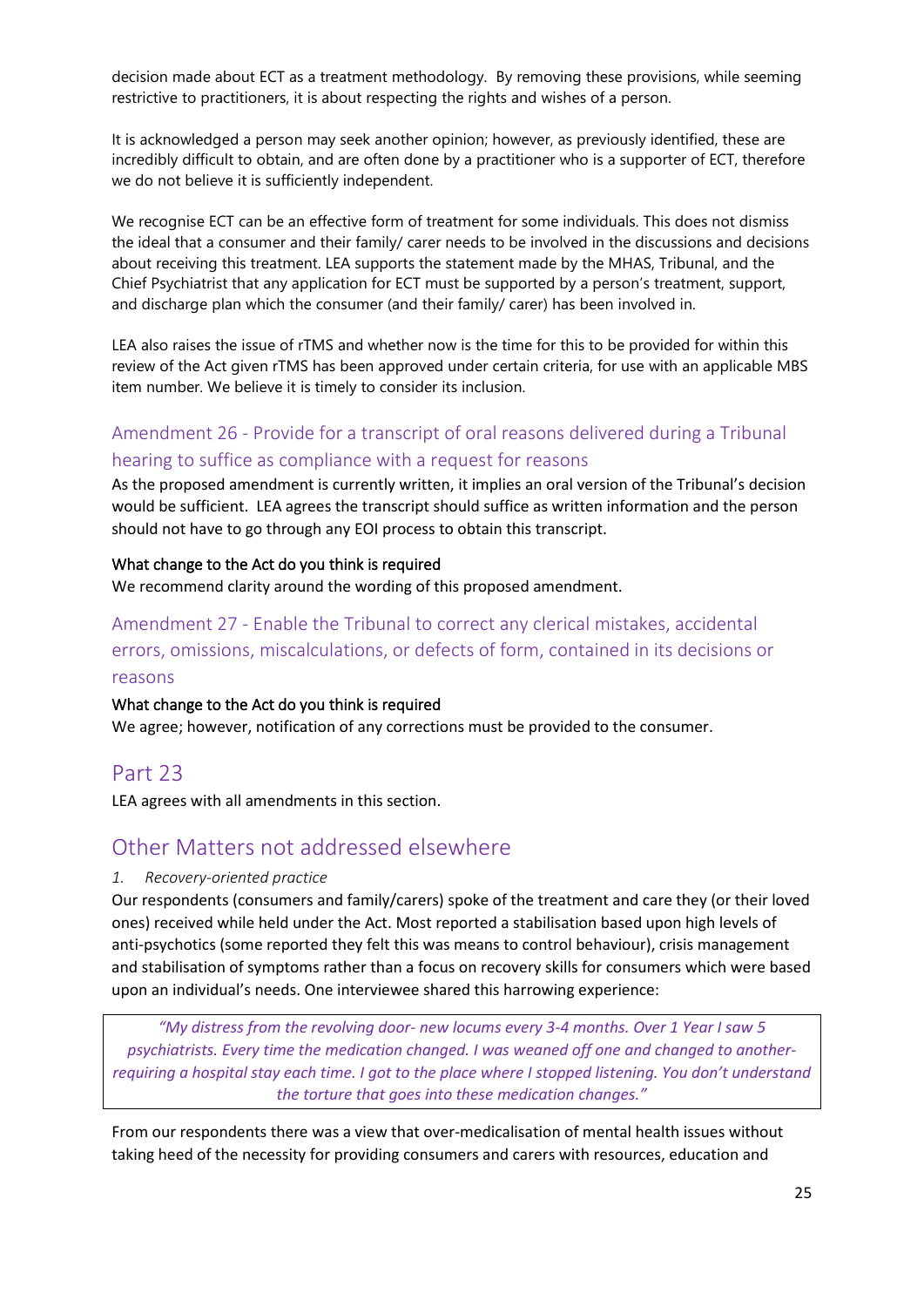decision made about ECT as a treatment methodology. By removing these provisions, while seeming restrictive to practitioners, it is about respecting the rights and wishes of a person.

It is acknowledged a person may seek another opinion; however, as previously identified, these are incredibly difficult to obtain, and are often done by a practitioner who is a supporter of ECT, therefore we do not believe it is sufficiently independent.

We recognise ECT can be an effective form of treatment for some individuals. This does not dismiss the ideal that a consumer and their family/ carer needs to be involved in the discussions and decisions about receiving this treatment. LEA supports the statement made by the MHAS, Tribunal, and the Chief Psychiatrist that any application for ECT must be supported by a person's treatment, support, and discharge plan which the consumer (and their family/ carer) has been involved in.

LEA also raises the issue of rTMS and whether now is the time for this to be provided for within this review of the Act given rTMS has been approved under certain criteria, for use with an applicable MBS item number. We believe it is timely to consider its inclusion.

# <span id="page-24-0"></span>Amendment 26 - Provide for a transcript of oral reasons delivered during a Tribunal hearing to suffice as compliance with a request for reasons

As the proposed amendment is currently written, it implies an oral version of the Tribunal's decision would be sufficient. LEA agrees the transcript should suffice as written information and the person should not have to go through any EOI process to obtain this transcript.

#### <span id="page-24-1"></span>What change to the Act do you think is required

We recommend clarity around the wording of this proposed amendment.

<span id="page-24-2"></span>Amendment 27 - Enable the Tribunal to correct any clerical mistakes, accidental errors, omissions, miscalculations, or defects of form, contained in its decisions or reasons

## <span id="page-24-3"></span>What change to the Act do you think is required

We agree; however, notification of any corrections must be provided to the consumer.

# <span id="page-24-4"></span>Part 23

LEA agrees with all amendments in this section.

# <span id="page-24-5"></span>Other Matters not addressed elsewhere

## <span id="page-24-6"></span>*1. Recovery-oriented practice*

Our respondents (consumers and family/carers) spoke of the treatment and care they (or their loved ones) received while held under the Act. Most reported a stabilisation based upon high levels of anti-psychotics (some reported they felt this was means to control behaviour), crisis management and stabilisation of symptoms rather than a focus on recovery skills for consumers which were based upon an individual's needs. One interviewee shared this harrowing experience:

*"My distress from the revolving door- new locums every 3-4 months. Over 1 Year I saw 5 psychiatrists. Every time the medication changed. I was weaned off one and changed to anotherrequiring a hospital stay each time. I got to the place where I stopped listening. You don't understand the torture that goes into these medication changes."*

From our respondents there was a view that over-medicalisation of mental health issues without taking heed of the necessity for providing consumers and carers with resources, education and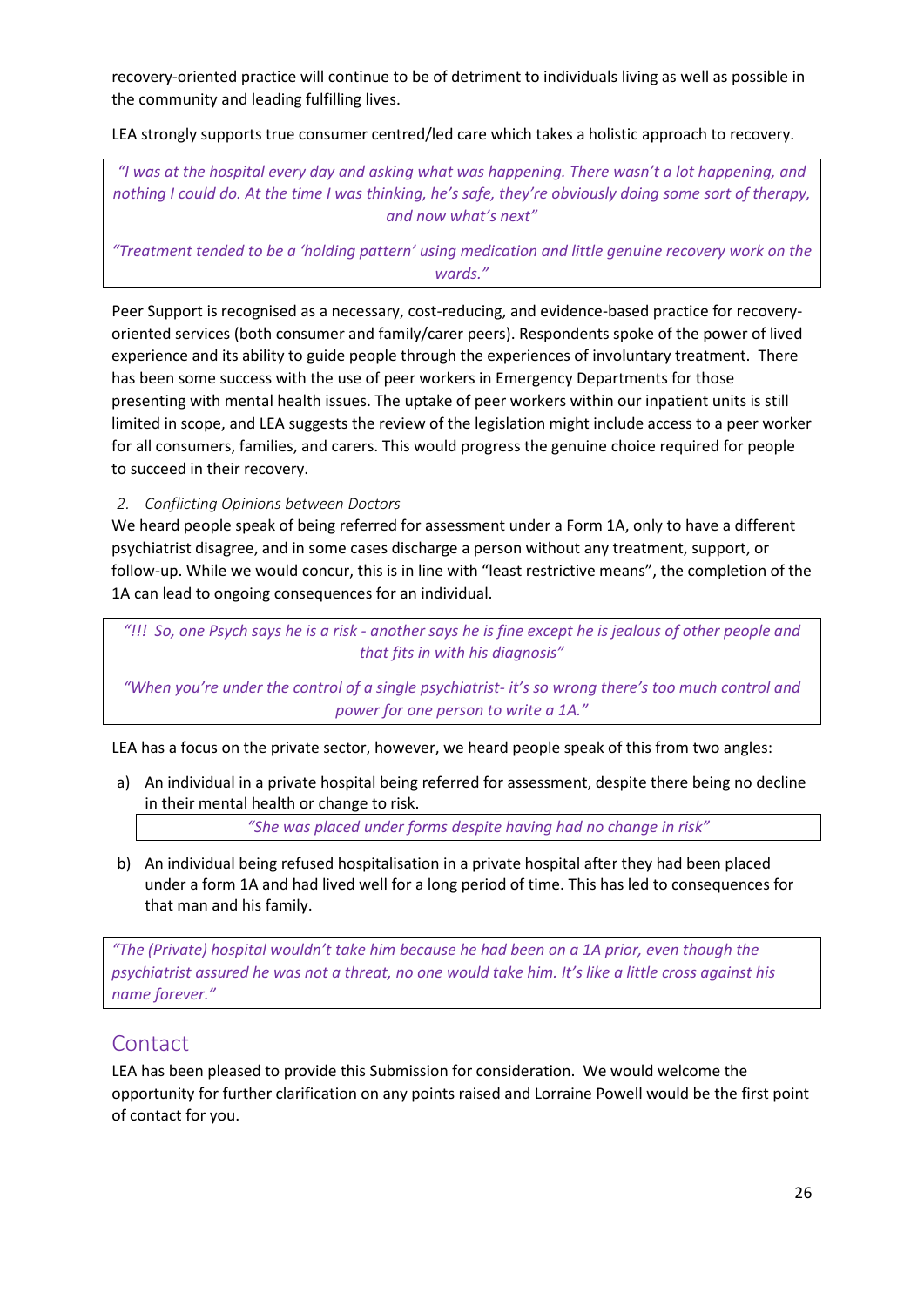recovery-oriented practice will continue to be of detriment to individuals living as well as possible in the community and leading fulfilling lives.

LEA strongly supports true consumer centred/led care which takes a holistic approach to recovery.

*"I was at the hospital every day and asking what was happening. There wasn't a lot happening, and nothing I could do. At the time I was thinking, he's safe, they're obviously doing some sort of therapy, and now what's next"*

*"Treatment tended to be a 'holding pattern' using medication and little genuine recovery work on the wards."*

Peer Support is recognised as a necessary, cost-reducing, and evidence-based practice for recoveryoriented services (both consumer and family/carer peers). Respondents spoke of the power of lived experience and its ability to guide people through the experiences of involuntary treatment. There has been some success with the use of peer workers in Emergency Departments for those presenting with mental health issues. The uptake of peer workers within our inpatient units is still limited in scope, and LEA suggests the review of the legislation might include access to a peer worker for all consumers, families, and carers. This would progress the genuine choice required for people to succeed in their recovery.

<span id="page-25-0"></span>*2. Conflicting Opinions between Doctors*

We heard people speak of being referred for assessment under a Form 1A, only to have a different psychiatrist disagree, and in some cases discharge a person without any treatment, support, or follow-up. While we would concur, this is in line with "least restrictive means", the completion of the 1A can lead to ongoing consequences for an individual.

*"!!! So, one Psych says he is a risk - another says he is fine except he is jealous of other people and that fits in with his diagnosis"*

*"When you're under the control of a single psychiatrist- it's so wrong there's too much control and power for one person to write a 1A."*

LEA has a focus on the private sector, however, we heard people speak of this from two angles:

a) An individual in a private hospital being referred for assessment, despite there being no decline in their mental health or change to risk.

*"She was placed under forms despite having had no change in risk"*

b) An individual being refused hospitalisation in a private hospital after they had been placed under a form 1A and had lived well for a long period of time. This has led to consequences for that man and his family.

*"The (Private) hospital wouldn't take him because he had been on a 1A prior, even though the psychiatrist assured he was not a threat, no one would take him. It's like a little cross against his name forever."*

# <span id="page-25-1"></span>Contact

LEA has been pleased to provide this Submission for consideration. We would welcome the opportunity for further clarification on any points raised and Lorraine Powell would be the first point of contact for you.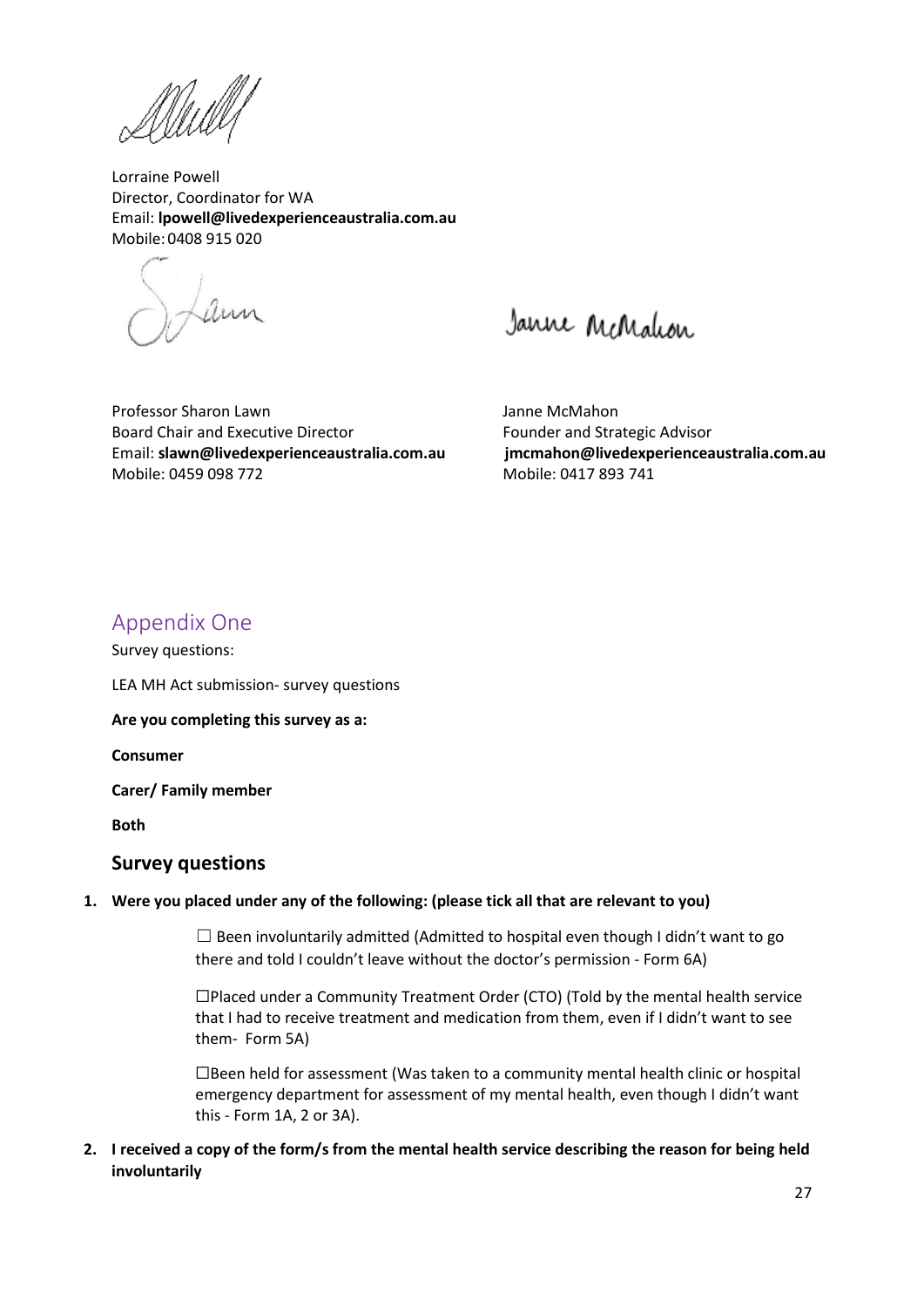Mully

Lorraine Powell Director, Coordinator for WA Email: **[lpowell@livedexperienceaustralia.com.au](mailto:lpowell@livedexperienceaustralia.com.au)** Mobile: 0408 915 020

Laun

Janne McMalcon

Professor Sharon Lawn Janne McMahon Board Chair and Executive Director Founder and Strategic Advisor Email: **[slawn@livedexperienceaustralia.com.au](mailto:slawn@livedexperienceaustralia.com.au) [jmcmahon@livedexperienceaustralia.com.au](mailto:jmcmahon@livedexperienceaustralia.com.au)** Mobile: 0459 098 772 Mobile: 0417 893 741

# <span id="page-26-0"></span>Appendix One

Survey questions:

LEA MH Act submission- survey questions

**Are you completing this survey as a:**

**Consumer**

**Carer/ Family member**

**Both**

## **Survey questions**

#### **1. Were you placed under any of the following: (please tick all that are relevant to you)**

 $\Box$  Been involuntarily admitted (Admitted to hospital even though I didn't want to go there and told I couldn't leave without the doctor's permission - Form 6A)

☐Placed under a Community Treatment Order (CTO) (Told by the mental health service that I had to receive treatment and medication from them, even if I didn't want to see them- Form 5A)

☐Been held for assessment (Was taken to a community mental health clinic or hospital emergency department for assessment of my mental health, even though I didn't want this - Form 1A, 2 or 3A).

**2. I received a copy of the form/s from the mental health service describing the reason for being held involuntarily**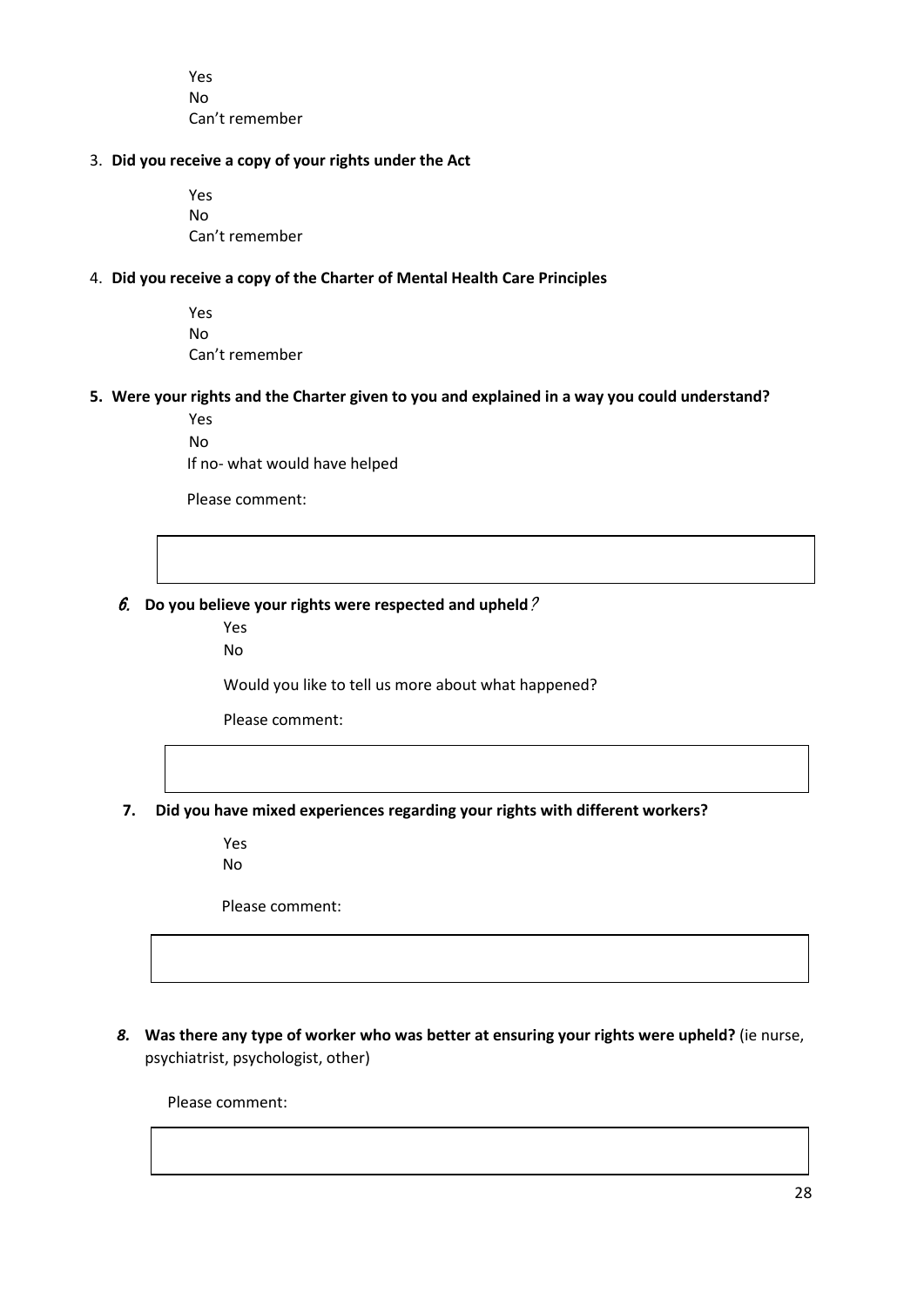Yes No Can't remember

#### 3. **Did you receive a copy of your rights under the Act**

Yes No Can't remember

#### 4. **Did you receive a copy of the Charter of Mental Health Care Principles**

Yes No Can't remember

#### **5. Were your rights and the Charter given to you and explained in a way you could understand?**

Yes No

If no- what would have helped

Please comment:

6. **Do you believe your rights were respected and upheld**?

Yes

No

Would you like to tell us more about what happened?

Please comment:

**7. Did you have mixed experiences regarding your rights with different workers?**

Yes No

Please comment:

*8.* **Was there any type of worker who was better at ensuring your rights were upheld?** (ie nurse, psychiatrist, psychologist, other)

Please comment: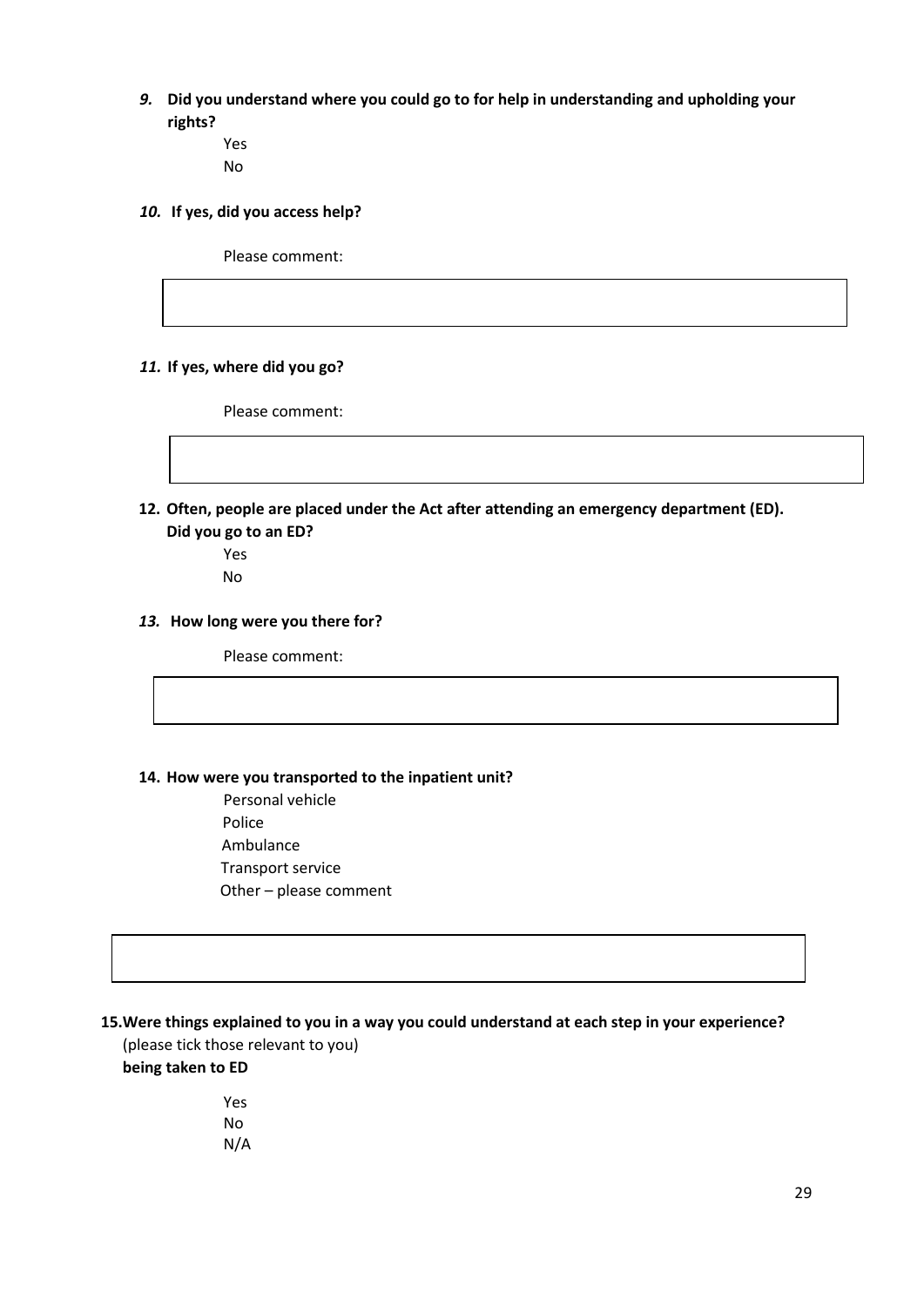- *9.* **Did you understand where you could go to for help in understanding and upholding your rights?**
	- Yes No

#### *10.* **If yes, did you access help?**

Please comment:

#### *11.* **If yes, where did you go?**

Please comment:

- **12. Often, people are placed under the Act after attending an emergency department (ED). Did you go to an ED?**
	- Yes No

#### *13.* **How long were you there for?**

Please comment:

#### **14. How were you transported to the inpatient unit?**

Personal vehicle Police Ambulance Transport service Other – please comment

#### **15.Were things explained to you in a way you could understand at each step in your experience?**

(please tick those relevant to you) **being taken to ED**

> Yes No N/A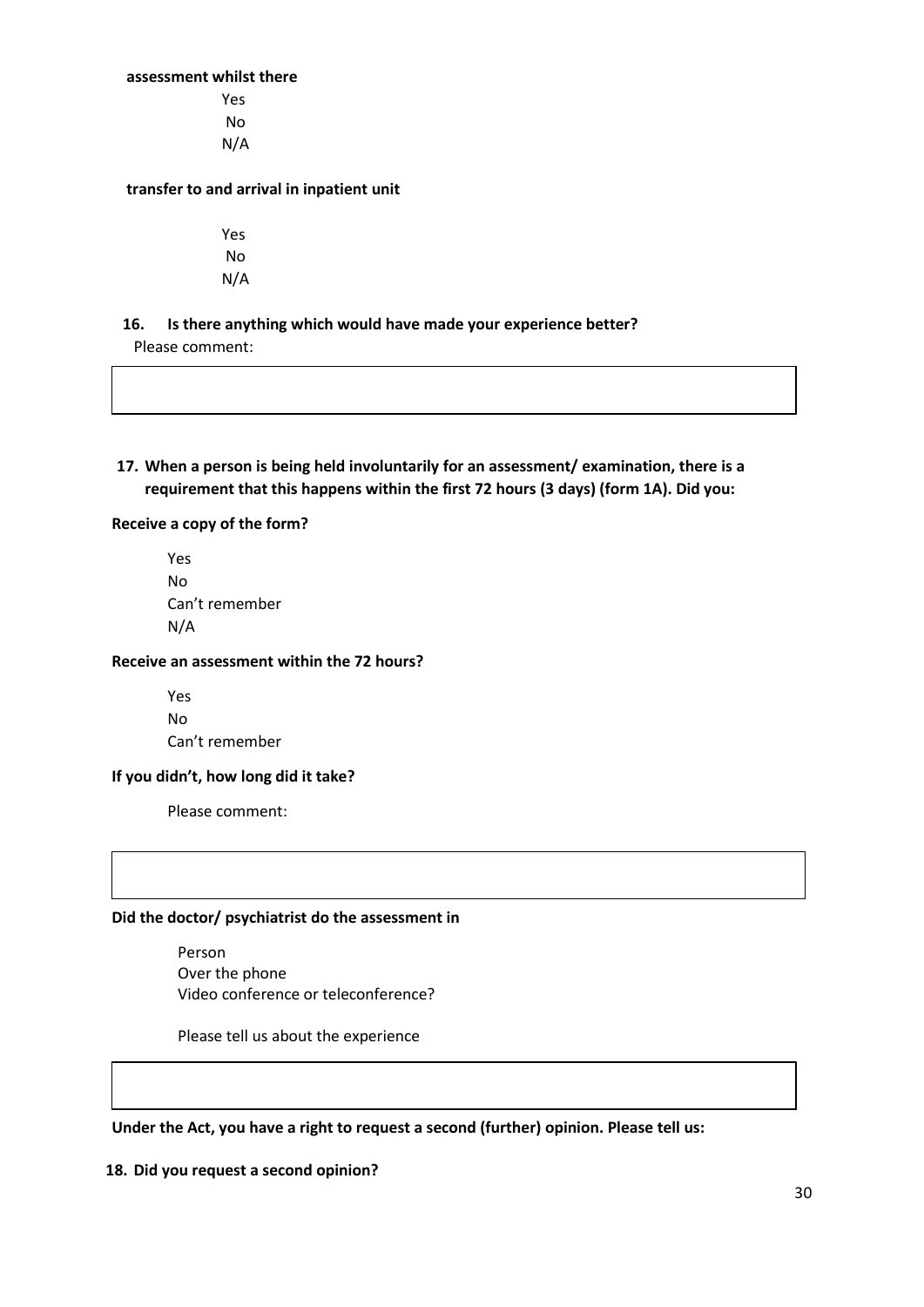#### **assessment whilst there**

Yes No N/A

#### **transfer to and arrival in inpatient unit**

Yes No N/A

#### **16. Is there anything which would have made your experience better?**

Please comment:

**17. When a person is being held involuntarily for an assessment/ examination, there is a requirement that this happens within the first 72 hours (3 days) (form 1A). Did you:**

#### **Receive a copy of the form?**

Yes No Can't remember N/A

#### **Receive an assessment within the 72 hours?**

Yes No Can't remember

#### **If you didn't, how long did it take?**

Please comment:

#### **Did the doctor/ psychiatrist do the assessment in**

Person Over the phone Video conference or teleconference?

Please tell us about the experience

#### **Under the Act, you have a right to request a second (further) opinion. Please tell us:**

#### **18. Did you request a second opinion?**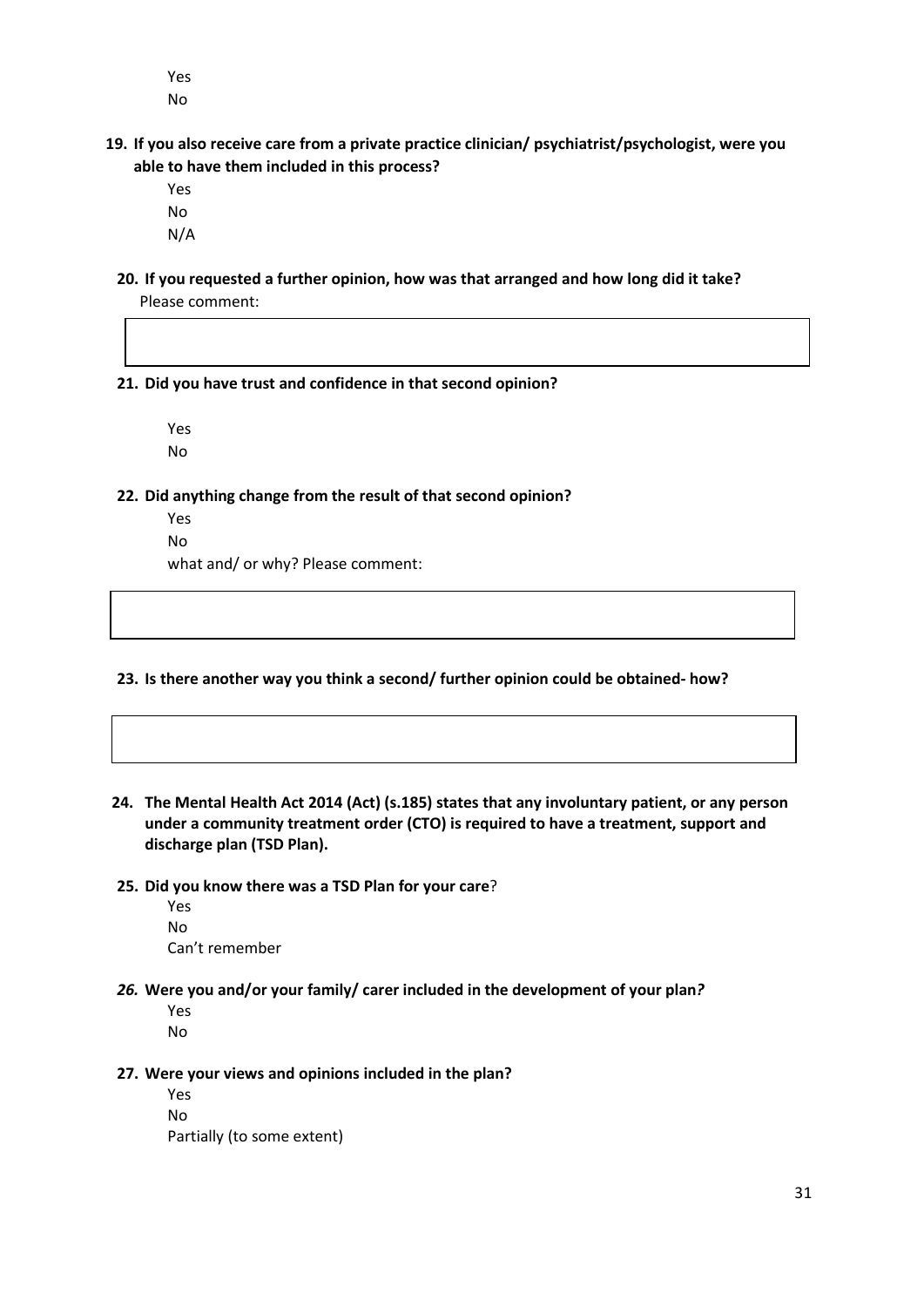Yes No

- **19. If you also receive care from a private practice clinician/ psychiatrist/psychologist, were you able to have them included in this process?** 
	- Yes No N/A
	- **20. If you requested a further opinion, how was that arranged and how long did it take?**  Please comment:

**21. Did you have trust and confidence in that second opinion?** 

Yes No

**22. Did anything change from the result of that second opinion?** 

Yes No

what and/ or why? Please comment:

**23. Is there another way you think a second/ further opinion could be obtained- how?** 

- **24. The Mental Health Act 2014 (Act) (s.185) states that any involuntary patient, or any person under a community treatment order (CTO) is required to have a treatment, support and discharge plan (TSD Plan).**
- **25. Did you know there was a TSD Plan for your care**?
	- Yes No Can't remember
- *26.* **Were you and/or your family/ carer included in the development of your plan***?*

Yes No

**27. Were your views and opinions included in the plan?** 

Yes No Partially (to some extent)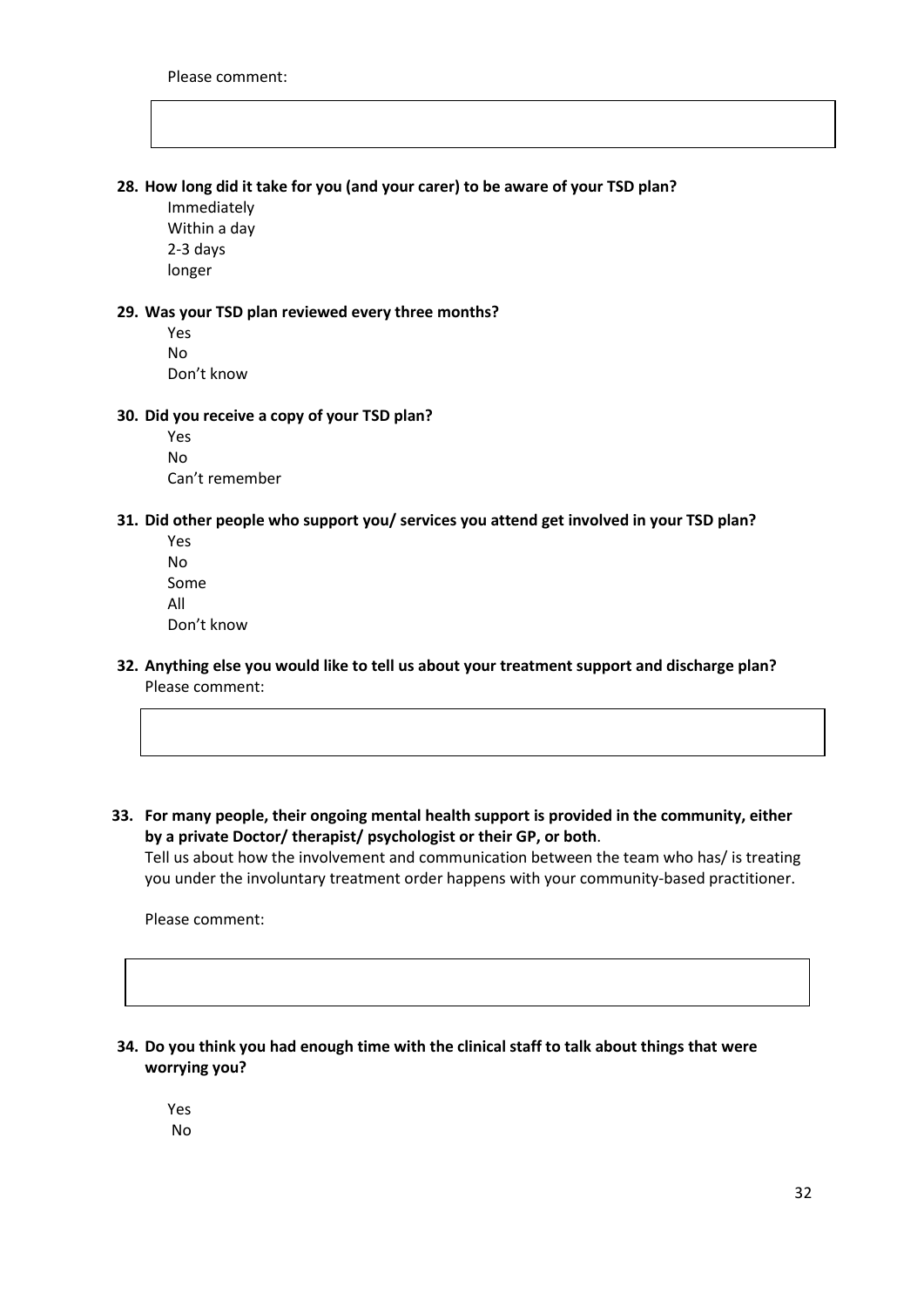#### **28. How long did it take for you (and your carer) to be aware of your TSD plan?**

Immediately Within a day 2-3 days longer

#### **29. Was your TSD plan reviewed every three months?**

Yes No Don't know

#### **30. Did you receive a copy of your TSD plan?**

Yes No Can't remember

#### **31. Did other people who support you/ services you attend get involved in your TSD plan?**

Yes No Some All Don't know

- **32. Anything else you would like to tell us about your treatment support and discharge plan?** Please comment:
- **33. For many people, their ongoing mental health support is provided in the community, either by a private Doctor/ therapist/ psychologist or their GP, or both**. Tell us about how the involvement and communication between the team who has/ is treating you under the involuntary treatment order happens with your community-based practitioner.

Please comment:

**34. Do you think you had enough time with the clinical staff to talk about things that were worrying you?**

Yes No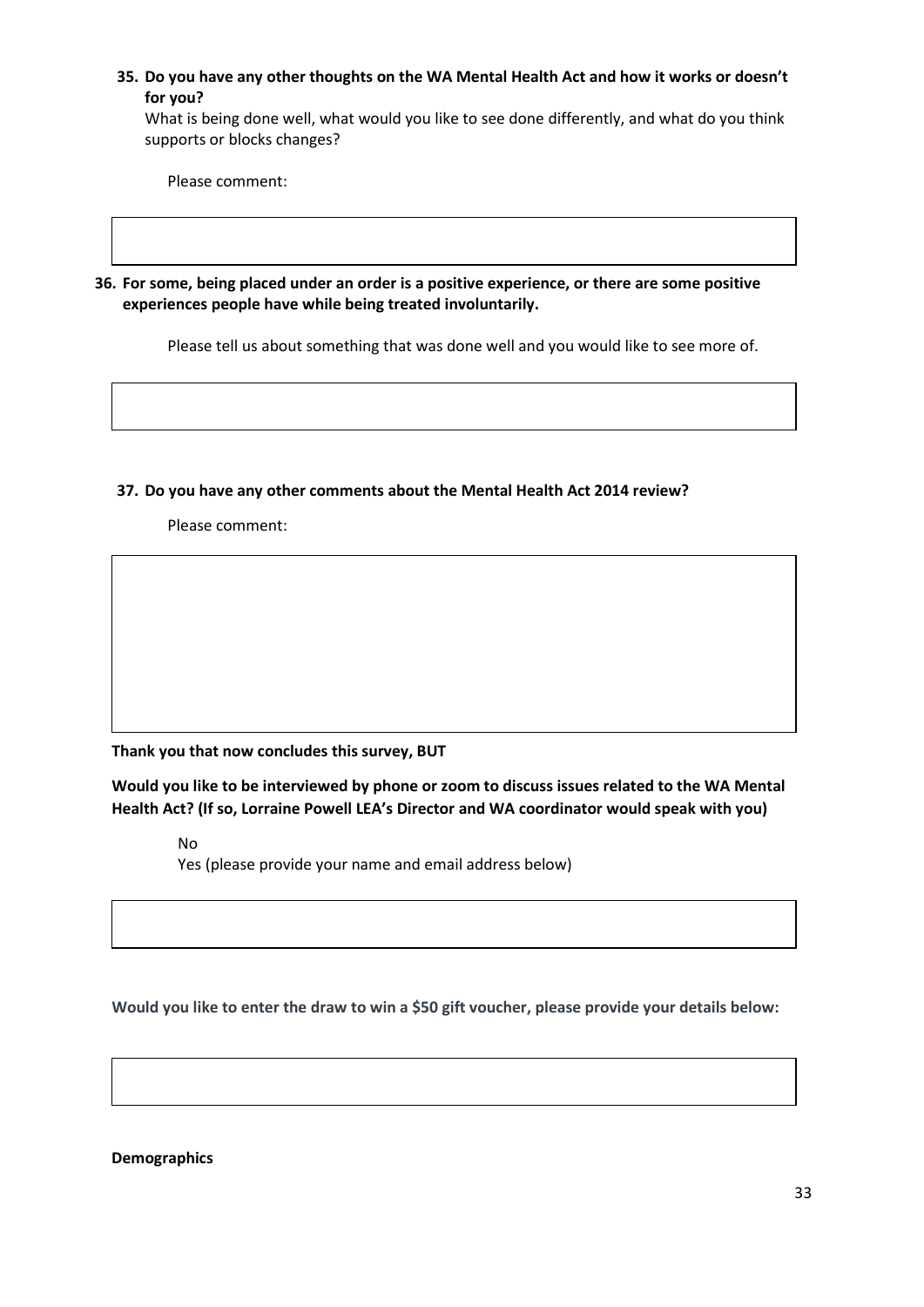**35. Do you have any other thoughts on the WA Mental Health Act and how it works or doesn't for you?**

What is being done well, what would you like to see done differently, and what do you think supports or blocks changes?

Please comment:

**36. For some, being placed under an order is a positive experience, or there are some positive experiences people have while being treated involuntarily.** 

Please tell us about something that was done well and you would like to see more of.

#### **37. Do you have any other comments about the Mental Health Act 2014 review?**

Please comment:

**Thank you that now concludes this survey, BUT**

**Would you like to be interviewed by phone or zoom to discuss issues related to the WA Mental Health Act? (If so, Lorraine Powell LEA's Director and WA coordinator would speak with you)**

No

Yes (please provide your name and email address below)

**Would you like to enter the draw to win a \$50 gift voucher, please provide your details below:**

**Demographics**